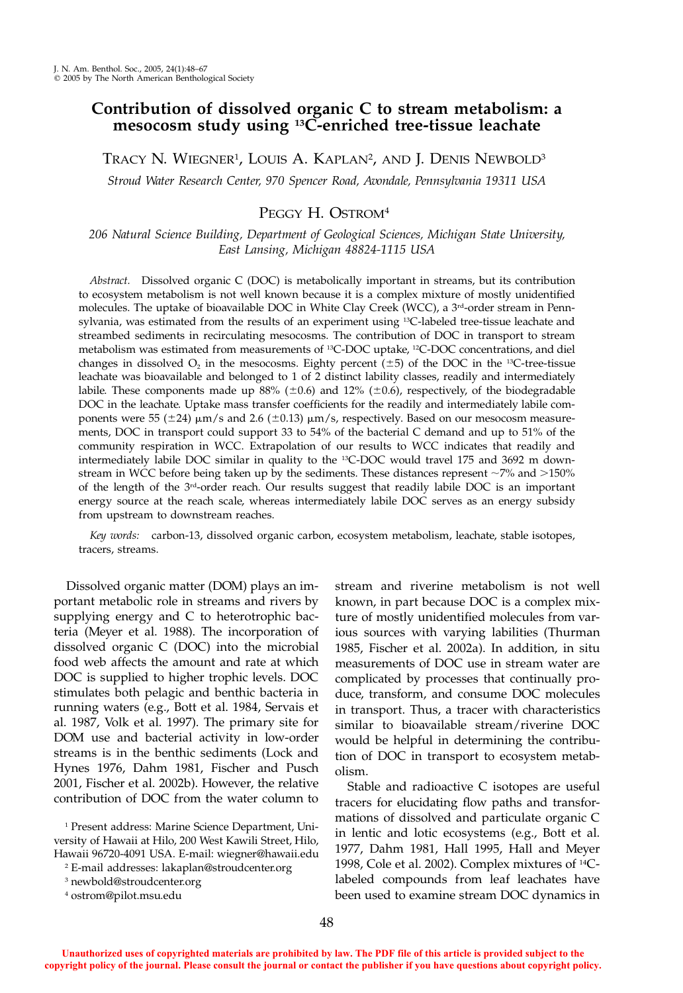# **Contribution of dissolved organic C to stream metabolism: a mesocosm study using 13C-enriched tree-tissue leachate**

Tracy N. Wiegner<sup>1</sup>, Louis A. Kaplan<sup>2</sup>, and J. Denis Newbold<sup>3</sup>

*Stroud Water Research Center, 970 Spencer Road, Avondale, Pennsylvania 19311 USA*

# PEGGY H. OSTROM<sup>4</sup>

*206 Natural Science Building, Department of Geological Sciences, Michigan State University, East Lansing, Michigan 48824-1115 USA*

*Abstract.* Dissolved organic C (DOC) is metabolically important in streams, but its contribution to ecosystem metabolism is not well known because it is a complex mixture of mostly unidentified molecules. The uptake of bioavailable DOC in White Clay Creek (WCC), a  $3<sup>rd</sup>$ -order stream in Pennsylvania, was estimated from the results of an experiment using <sup>13</sup>C-labeled tree-tissue leachate and streambed sediments in recirculating mesocosms. The contribution of DOC in transport to stream metabolism was estimated from measurements of 13C-DOC uptake, 12C-DOC concentrations, and diel changes in dissolved  $O_2$  in the mesocosms. Eighty percent ( $\pm 5$ ) of the DOC in the <sup>13</sup>C-tree-tissue leachate was bioavailable and belonged to 1 of 2 distinct lability classes, readily and intermediately labile. These components made up 88% ( $\pm$ 0.6) and 12% ( $\pm$ 0.6), respectively, of the biodegradable DOC in the leachate. Uptake mass transfer coefficients for the readily and intermediately labile components were  $55 (\pm 24) \mu m/s$  and  $2.6 (\pm 0.13) \mu m/s$ , respectively. Based on our mesocosm measurements, DOC in transport could support 33 to 54% of the bacterial C demand and up to 51% of the community respiration in WCC. Extrapolation of our results to WCC indicates that readily and intermediately labile DOC similar in quality to the 13C-DOC would travel 175 and 3692 m downstream in WCC before being taken up by the sediments. These distances represent  $\sim$ 7% and >150% of the length of the 3rd-order reach. Our results suggest that readily labile DOC is an important energy source at the reach scale, whereas intermediately labile DOC serves as an energy subsidy from upstream to downstream reaches.

*Key words:* carbon-13, dissolved organic carbon, ecosystem metabolism, leachate, stable isotopes, tracers, streams.

Dissolved organic matter (DOM) plays an important metabolic role in streams and rivers by supplying energy and C to heterotrophic bacteria (Meyer et al. 1988). The incorporation of dissolved organic C (DOC) into the microbial food web affects the amount and rate at which DOC is supplied to higher trophic levels. DOC stimulates both pelagic and benthic bacteria in running waters (e.g., Bott et al. 1984, Servais et al. 1987, Volk et al. 1997). The primary site for DOM use and bacterial activity in low-order streams is in the benthic sediments (Lock and Hynes 1976, Dahm 1981, Fischer and Pusch 2001, Fischer et al. 2002b). However, the relative contribution of DOC from the water column to stream and riverine metabolism is not well known, in part because DOC is a complex mixture of mostly unidentified molecules from various sources with varying labilities (Thurman 1985, Fischer et al. 2002a). In addition, in situ measurements of DOC use in stream water are complicated by processes that continually produce, transform, and consume DOC molecules in transport. Thus, a tracer with characteristics similar to bioavailable stream/riverine DOC would be helpful in determining the contribution of DOC in transport to ecosystem metabolism.

Stable and radioactive C isotopes are useful tracers for elucidating flow paths and transformations of dissolved and particulate organic C in lentic and lotic ecosystems (e.g., Bott et al. 1977, Dahm 1981, Hall 1995, Hall and Meyer 1998, Cole et al. 2002). Complex mixtures of 14Clabeled compounds from leaf leachates have been used to examine stream DOC dynamics in

<sup>1</sup> Present address: Marine Science Department, University of Hawaii at Hilo, 200 West Kawili Street, Hilo, Hawaii 96720-4091 USA. E-mail: wiegner@hawaii.edu

<sup>2</sup> E-mail addresses: lakaplan@stroudcenter.org

<sup>3</sup> newbold@stroudcenter.org

<sup>4</sup> ostrom@pilot.msu.edu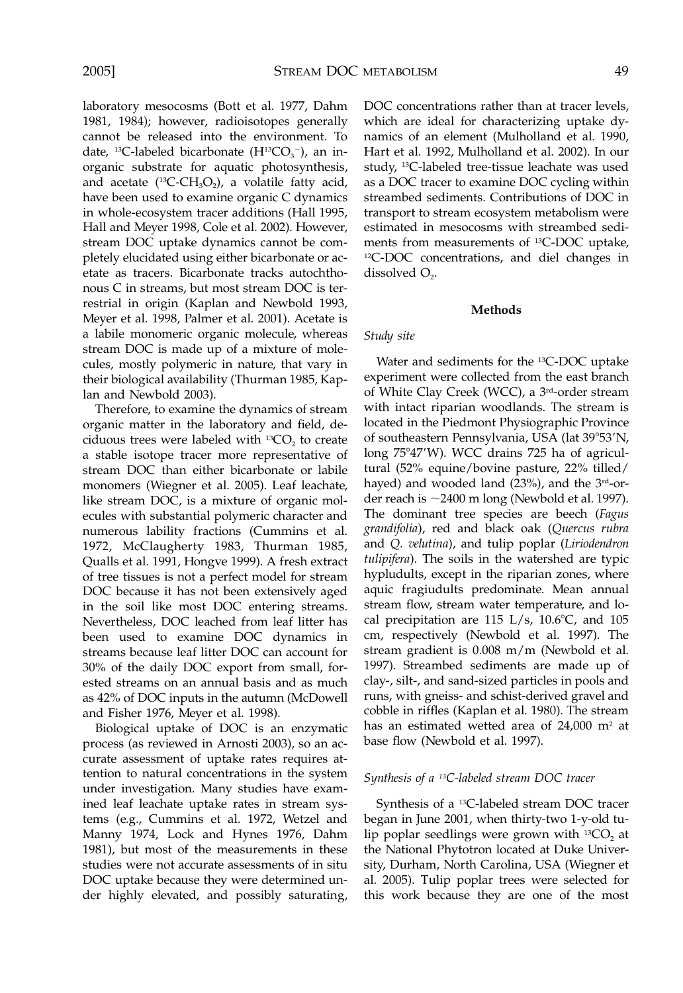laboratory mesocosms (Bott et al. 1977, Dahm 1981, 1984); however, radioisotopes generally cannot be released into the environment. To date, <sup>13</sup>C-labeled bicarbonate  $(H^{13}CO_3^-)$ , an inorganic substrate for aquatic photosynthesis, and acetate ( $^{13}$ C-CH<sub>3</sub>O<sub>2</sub>), a volatile fatty acid, have been used to examine organic C dynamics in whole-ecosystem tracer additions (Hall 1995, Hall and Meyer 1998, Cole et al. 2002). However, stream DOC uptake dynamics cannot be completely elucidated using either bicarbonate or acetate as tracers. Bicarbonate tracks autochthonous C in streams, but most stream DOC is terrestrial in origin (Kaplan and Newbold 1993, Meyer et al. 1998, Palmer et al. 2001). Acetate is a labile monomeric organic molecule, whereas stream DOC is made up of a mixture of molecules, mostly polymeric in nature, that vary in their biological availability (Thurman 1985, Kaplan and Newbold 2003).

Therefore, to examine the dynamics of stream organic matter in the laboratory and field, deciduous trees were labeled with  ${}^{13}CO_2$  to create a stable isotope tracer more representative of stream DOC than either bicarbonate or labile monomers (Wiegner et al. 2005). Leaf leachate, like stream DOC, is a mixture of organic molecules with substantial polymeric character and numerous lability fractions (Cummins et al. 1972, McClaugherty 1983, Thurman 1985, Qualls et al. 1991, Hongve 1999). A fresh extract of tree tissues is not a perfect model for stream DOC because it has not been extensively aged in the soil like most DOC entering streams. Nevertheless, DOC leached from leaf litter has been used to examine DOC dynamics in streams because leaf litter DOC can account for 30% of the daily DOC export from small, forested streams on an annual basis and as much as 42% of DOC inputs in the autumn (McDowell and Fisher 1976, Meyer et al. 1998).

Biological uptake of DOC is an enzymatic process (as reviewed in Arnosti 2003), so an accurate assessment of uptake rates requires attention to natural concentrations in the system under investigation. Many studies have examined leaf leachate uptake rates in stream systems (e.g., Cummins et al. 1972, Wetzel and Manny 1974, Lock and Hynes 1976, Dahm 1981), but most of the measurements in these studies were not accurate assessments of in situ DOC uptake because they were determined under highly elevated, and possibly saturating,

DOC concentrations rather than at tracer levels, which are ideal for characterizing uptake dynamics of an element (Mulholland et al. 1990, Hart et al. 1992, Mulholland et al. 2002). In our study, 13C-labeled tree-tissue leachate was used as a DOC tracer to examine DOC cycling within streambed sediments. Contributions of DOC in transport to stream ecosystem metabolism were estimated in mesocosms with streambed sediments from measurements of 13C-DOC uptake, 12C-DOC concentrations, and diel changes in dissolved  $O<sub>2</sub>$ .

#### **Methods**

# *Study site*

Water and sediments for the <sup>13</sup>C-DOC uptake experiment were collected from the east branch of White Clay Creek (WCC), a 3rd-order stream with intact riparian woodlands. The stream is located in the Piedmont Physiographic Province of southeastern Pennsylvania, USA (lat 39°53'N, long 75°47'W). WCC drains 725 ha of agricultural (52% equine/bovine pasture, 22% tilled/ hayed) and wooded land (23%), and the 3<sup>rd</sup>-order reach is  $\sim$ 2400 m long (Newbold et al. 1997). The dominant tree species are beech (*Fagus grandifolia*), red and black oak (*Quercus rubra* and *Q. velutina*), and tulip poplar (*Liriodendron tulipifera*). The soils in the watershed are typic hypludults, except in the riparian zones, where aquic fragiudults predominate. Mean annual stream flow, stream water temperature, and local precipitation are  $115$  L/s,  $10.6^{\circ}$ C, and  $105$ cm, respectively (Newbold et al. 1997). The stream gradient is 0.008 m/m (Newbold et al. 1997). Streambed sediments are made up of clay-, silt-, and sand-sized particles in pools and runs, with gneiss- and schist-derived gravel and cobble in riffles (Kaplan et al. 1980). The stream has an estimated wetted area of 24,000 m<sup>2</sup> at base flow (Newbold et al. 1997).

#### *Synthesis of a 13C-labeled stream DOC tracer*

Synthesis of a 13C-labeled stream DOC tracer began in June 2001, when thirty-two 1-y-old tulip poplar seedlings were grown with  ${}^{13}CO_2$  at the National Phytotron located at Duke University, Durham, North Carolina, USA (Wiegner et al. 2005). Tulip poplar trees were selected for this work because they are one of the most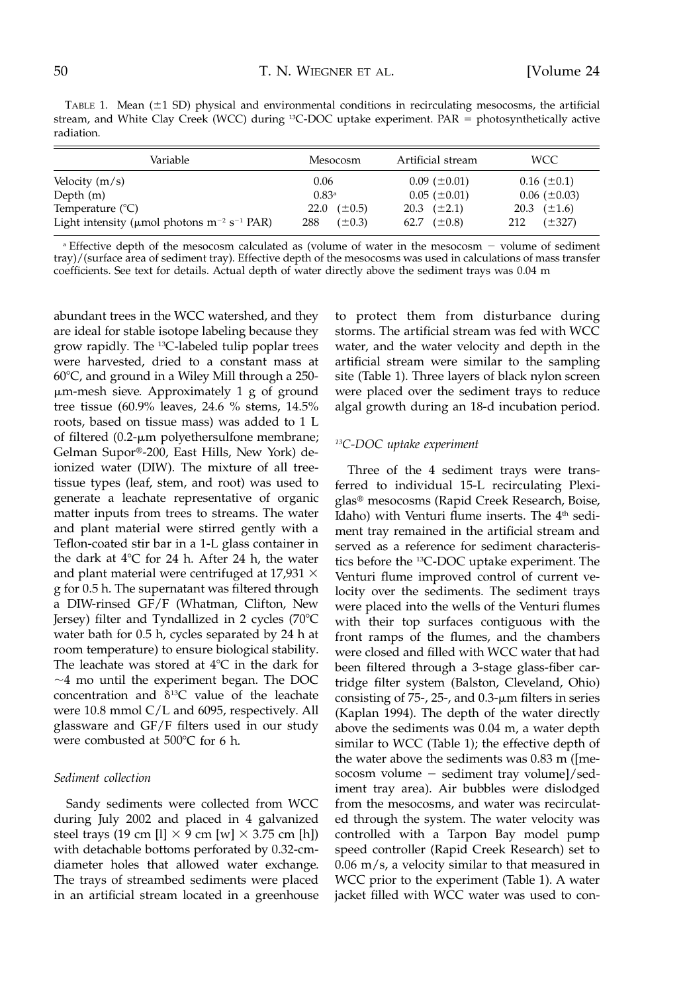TABLE 1. Mean  $(\pm 1 \text{ SD})$  physical and environmental conditions in recirculating mesocosms, the artificial stream, and White Clay Creek (WCC) during <sup>13</sup>C-DOC uptake experiment. PAR = photosynthetically active radiation.

| Variable                                                                 | Mesocosm            | Artificial stream     | WCC.               |
|--------------------------------------------------------------------------|---------------------|-----------------------|--------------------|
| Velocity $(m/s)$                                                         | 0.06                | $0.09$ ( $\pm 0.01$ ) | $0.16~(\pm 0.1)$   |
| Depth $(m)$                                                              | 0.83 <sup>a</sup>   | $0.05$ ( $\pm 0.01$ ) | $0.06~(\pm 0.03)$  |
| Temperature $(^{\circ}C)$                                                | $(\pm 0.5)$<br>22.0 | 20.3 $(\pm 2.1)$      | 20.3 $(\pm 1.6)$   |
| Light intensity ( $\mu$ mol photons m <sup>-2</sup> s <sup>-1</sup> PAR) | 288<br>$(\pm 0.3)$  | 62.7 $(\pm 0.8)$      | $(\pm 327)$<br>212 |

 $a$  Effective depth of the mesocosm calculated as (volume of water in the mesocosm  $-$  volume of sediment tray)/(surface area of sediment tray). Effective depth of the mesocosms was used in calculations of mass transfer coefficients. See text for details. Actual depth of water directly above the sediment trays was 0.04 m

abundant trees in the WCC watershed, and they are ideal for stable isotope labeling because they grow rapidly. The 13C-labeled tulip poplar trees were harvested, dried to a constant mass at  $60^{\circ}$ C, and ground in a Wiley Mill through a 250--m-mesh sieve. Approximately 1 g of ground tree tissue (60.9% leaves, 24.6 % stems, 14.5% roots, based on tissue mass) was added to 1 L of filtered (0.2-µm polyethersulfone membrane; Gelman Supor®-200, East Hills, New York) deionized water (DIW). The mixture of all treetissue types (leaf, stem, and root) was used to generate a leachate representative of organic matter inputs from trees to streams. The water and plant material were stirred gently with a Teflon-coated stir bar in a 1-L glass container in the dark at  $4^{\circ}$ C for 24 h. After 24 h, the water and plant material were centrifuged at 17,931  $\times$ g for 0.5 h. The supernatant was filtered through a DIW-rinsed GF/F (Whatman, Clifton, New Jersey) filter and Tyndallized in 2 cycles (70°C water bath for 0.5 h, cycles separated by 24 h at room temperature) to ensure biological stability. The leachate was stored at  $4^{\circ}C$  in the dark for  $\sim$ 4 mo until the experiment began. The DOC concentration and  $\delta^{13}$ C value of the leachate were 10.8 mmol C/L and 6095, respectively. All glassware and GF/F filters used in our study were combusted at  $500^{\circ}$ C for 6 h.

### *Sediment collection*

Sandy sediments were collected from WCC during July 2002 and placed in 4 galvanized steel trays (19 cm [l]  $\times$  9 cm [w]  $\times$  3.75 cm [h]) with detachable bottoms perforated by 0.32-cmdiameter holes that allowed water exchange. The trays of streambed sediments were placed in an artificial stream located in a greenhouse to protect them from disturbance during storms. The artificial stream was fed with WCC water, and the water velocity and depth in the artificial stream were similar to the sampling site (Table 1). Three layers of black nylon screen were placed over the sediment trays to reduce algal growth during an 18-d incubation period.

# *13C-DOC uptake experiment*

Three of the 4 sediment trays were transferred to individual 15-L recirculating Plexiglas- mesocosms (Rapid Creek Research, Boise, Idaho) with Venturi flume inserts. The  $4<sup>th</sup>$  sediment tray remained in the artificial stream and served as a reference for sediment characteristics before the 13C-DOC uptake experiment. The Venturi flume improved control of current velocity over the sediments. The sediment trays were placed into the wells of the Venturi flumes with their top surfaces contiguous with the front ramps of the flumes, and the chambers were closed and filled with WCC water that had been filtered through a 3-stage glass-fiber cartridge filter system (Balston, Cleveland, Ohio) consisting of  $75$ -,  $25$ -, and  $0.3$ - $\mu$ m filters in series (Kaplan 1994). The depth of the water directly above the sediments was 0.04 m, a water depth similar to WCC (Table 1); the effective depth of the water above the sediments was 0.83 m ([mesocosm volume  $-$  sediment tray volume]/sediment tray area). Air bubbles were dislodged from the mesocosms, and water was recirculated through the system. The water velocity was controlled with a Tarpon Bay model pump speed controller (Rapid Creek Research) set to 0.06 m/s, a velocity similar to that measured in WCC prior to the experiment (Table 1). A water jacket filled with WCC water was used to con-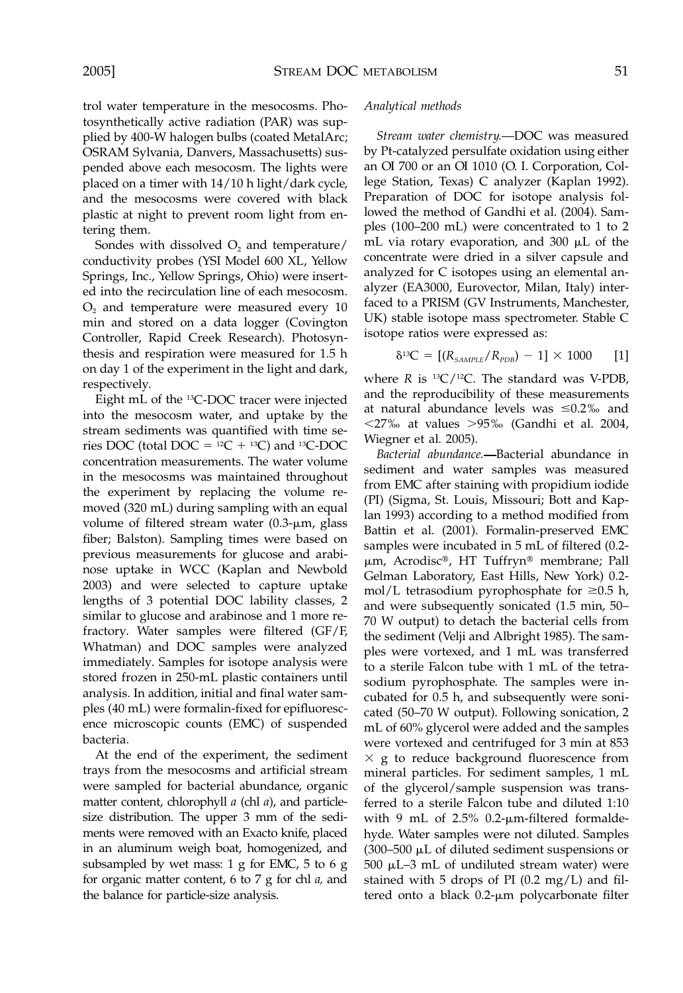trol water temperature in the mesocosms. Photosynthetically active radiation (PAR) was supplied by 400-W halogen bulbs (coated MetalArc; OSRAM Sylvania, Danvers, Massachusetts) suspended above each mesocosm. The lights were placed on a timer with 14/10 h light/dark cycle, and the mesocosms were covered with black plastic at night to prevent room light from entering them.

Sondes with dissolved  $O<sub>2</sub>$  and temperature/ conductivity probes (YSI Model 600 XL, Yellow Springs, Inc., Yellow Springs, Ohio) were inserted into the recirculation line of each mesocosm.  $O<sub>2</sub>$  and temperature were measured every 10 min and stored on a data logger (Covington Controller, Rapid Creek Research). Photosynthesis and respiration were measured for 1.5 h on day 1 of the experiment in the light and dark, respectively.

Eight mL of the 13C-DOC tracer were injected into the mesocosm water, and uptake by the stream sediments was quantified with time series DOC (total DOC =  $^{12}C + ^{13}C$ ) and  $^{13}C$ -DOC concentration measurements. The water volume in the mesocosms was maintained throughout the experiment by replacing the volume removed (320 mL) during sampling with an equal volume of filtered stream water (0.3-µm, glass fiber; Balston). Sampling times were based on previous measurements for glucose and arabinose uptake in WCC (Kaplan and Newbold 2003) and were selected to capture uptake lengths of 3 potential DOC lability classes, 2 similar to glucose and arabinose and 1 more refractory. Water samples were filtered (GF/F, Whatman) and DOC samples were analyzed immediately. Samples for isotope analysis were stored frozen in 250-mL plastic containers until analysis. In addition, initial and final water samples (40 mL) were formalin-fixed for epifluorescence microscopic counts (EMC) of suspended bacteria.

At the end of the experiment, the sediment trays from the mesocosms and artificial stream were sampled for bacterial abundance, organic matter content, chlorophyll *a* (chl *a*), and particlesize distribution. The upper 3 mm of the sediments were removed with an Exacto knife, placed in an aluminum weigh boat, homogenized, and subsampled by wet mass: 1 g for EMC, 5 to 6 g for organic matter content, 6 to 7 g for chl *a,* and the balance for particle-size analysis.

#### *Analytical methods*

*Stream water chemistry.* DOC was measured by Pt-catalyzed persulfate oxidation using either an OI 700 or an OI 1010 (O. I. Corporation, College Station, Texas) C analyzer (Kaplan 1992). Preparation of DOC for isotope analysis followed the method of Gandhi et al. (2004). Samples (100–200 mL) were concentrated to 1 to 2 mL via rotary evaporation, and 300  $\mu$ L of the concentrate were dried in a silver capsule and analyzed for C isotopes using an elemental analyzer (EA3000, Eurovector, Milan, Italy) interfaced to a PRISM (GV Instruments, Manchester, UK) stable isotope mass spectrometer. Stable C isotope ratios were expressed as:

$$
\delta^{13}C = [(R_{SAMPLE}/R_{PDB}) - 1] \times 1000 \qquad [1]
$$

where  $R$  is  $^{13}C/^{12}C$ . The standard was V-PDB, and the reproducibility of these measurements at natural abundance levels was  $\leq 0.2\%$  and  $<$ 27‰ at values >95‰ (Gandhi et al. 2004, Wiegner et al. 2005).

*Bacterial abundance.* Bacterial abundance in sediment and water samples was measured from EMC after staining with propidium iodide (PI) (Sigma, St. Louis, Missouri; Bott and Kaplan 1993) according to a method modified from Battin et al. (2001). Formalin-preserved EMC samples were incubated in 5 mL of filtered (0.2 μm, Acrodisc®, HT Tuffryn® membrane; Pall Gelman Laboratory, East Hills, New York) 0.2 mol/L tetrasodium pyrophosphate for  $\geq 0.5$  h, and were subsequently sonicated (1.5 min, 50– 70 W output) to detach the bacterial cells from the sediment (Velji and Albright 1985). The samples were vortexed, and 1 mL was transferred to a sterile Falcon tube with 1 mL of the tetrasodium pyrophosphate. The samples were incubated for 0.5 h, and subsequently were sonicated (50–70 W output). Following sonication, 2 mL of 60% glycerol were added and the samples were vortexed and centrifuged for 3 min at 853  $\times$  g to reduce background fluorescence from mineral particles. For sediment samples, 1 mL of the glycerol/sample suspension was transferred to a sterile Falcon tube and diluted 1:10 with 9 mL of  $2.5\%$  0.2- $\mu$ m-filtered formaldehyde. Water samples were not diluted. Samples  $(300 - 500 \mu L)$  of diluted sediment suspensions or 500  $\mu$ L–3 mL of undiluted stream water) were stained with 5 drops of PI (0.2 mg/L) and filtered onto a black 0.2-µm polycarbonate filter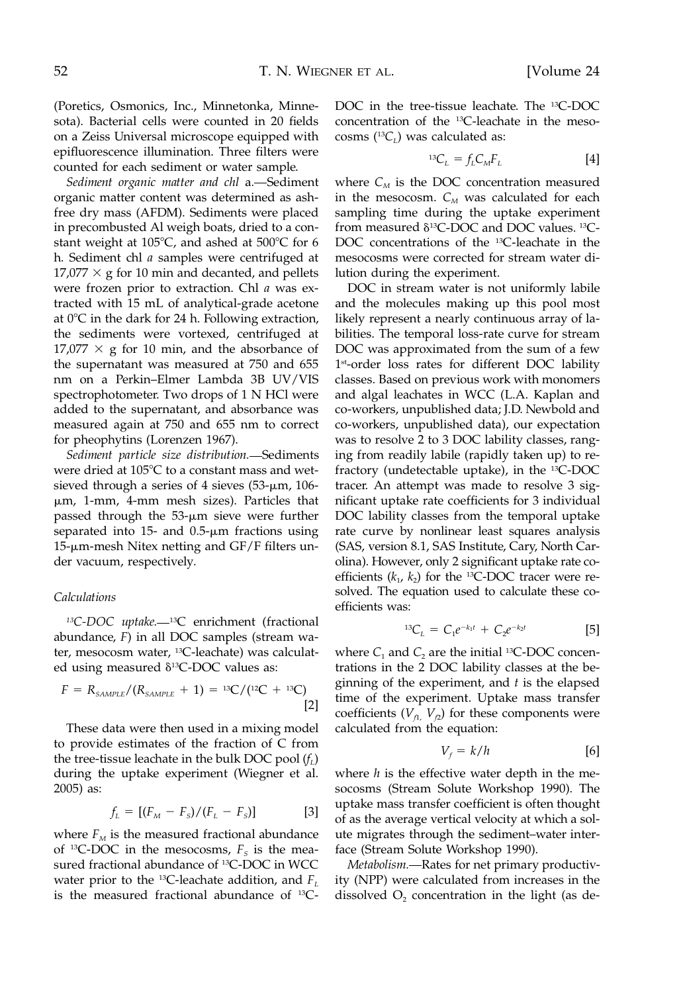(Poretics, Osmonics, Inc., Minnetonka, Minnesota). Bacterial cells were counted in 20 fields on a Zeiss Universal microscope equipped with epifluorescence illumination. Three filters were counted for each sediment or water sample.

*Sediment organic matter and chl* a*.* Sediment organic matter content was determined as ashfree dry mass (AFDM). Sediments were placed in precombusted Al weigh boats, dried to a constant weight at 105°C, and ashed at 500°C for 6 h. Sediment chl *a* samples were centrifuged at  $17,077 \times$  g for 10 min and decanted, and pellets were frozen prior to extraction. Chl *a* was extracted with 15 mL of analytical-grade acetone at  $0^{\circ}$ C in the dark for 24 h. Following extraction, the sediments were vortexed, centrifuged at  $17,077 \times$  g for 10 min, and the absorbance of the supernatant was measured at 750 and 655 nm on a Perkin–Elmer Lambda 3B UV/VIS spectrophotometer. Two drops of 1 N HCl were added to the supernatant, and absorbance was measured again at 750 and 655 nm to correct for pheophytins (Lorenzen 1967).

*Sediment particle size distribution.* Sediments were dried at  $105^{\circ}$ C to a constant mass and wetsieved through a series of 4 sieves  $(53-\mu m, 106-\mu m)$ -m, 1-mm, 4-mm mesh sizes). Particles that passed through the 53-µm sieve were further separated into 15- and  $0.5$ - $\mu$ m fractions using  $15$ - $\mu$ m-mesh Nitex netting and GF/F filters under vacuum, respectively.

## *Calculations*

<sup>13</sup>C-DOC uptake.<sup>13</sup>C enrichment (fractional abundance, *F*) in all DOC samples (stream water, mesocosm water, 13C-leachate) was calculated using measured δ<sup>13</sup>C-DOC values as:

$$
F = R_{sAMPLE}/(R_{sAMPLE} + 1) = {}^{13}C/({}^{12}C + {}^{13}C)
$$
\n[2]

These data were then used in a mixing model to provide estimates of the fraction of C from the tree-tissue leachate in the bulk DOC pool  $(f_L)$ during the uptake experiment (Wiegner et al. 2005) as:

$$
f_L = [(F_M - F_s)/(F_L - F_s)] \tag{3}
$$

where  $F_M$  is the measured fractional abundance of <sup>13</sup>C-DOC in the mesocosms,  $F<sub>S</sub>$  is the measured fractional abundance of <sup>13</sup>C-DOC in WCC water prior to the <sup>13</sup>C-leachate addition, and  $F<sub>L</sub>$ is the measured fractional abundance of 13C- DOC in the tree-tissue leachate. The 13C-DOC concentration of the 13C-leachate in the mesocosms  $(^{13}C_L)$  was calculated as:

$$
^{13}C_L = f_L C_M F_L \tag{4}
$$

where  $C_M$  is the DOC concentration measured in the mesocosm.  $C_M$  was calculated for each sampling time during the uptake experiment from measured  $\delta$ <sup>13</sup>C-DOC and DOC values. <sup>13</sup>C-DOC concentrations of the 13C-leachate in the mesocosms were corrected for stream water dilution during the experiment.

DOC in stream water is not uniformly labile and the molecules making up this pool most likely represent a nearly continuous array of labilities. The temporal loss-rate curve for stream DOC was approximated from the sum of a few 1<sup>st</sup>-order loss rates for different DOC lability classes. Based on previous work with monomers and algal leachates in WCC (L.A. Kaplan and co-workers, unpublished data; J.D. Newbold and co-workers, unpublished data), our expectation was to resolve 2 to 3 DOC lability classes, ranging from readily labile (rapidly taken up) to refractory (undetectable uptake), in the 13C-DOC tracer. An attempt was made to resolve 3 significant uptake rate coefficients for 3 individual DOC lability classes from the temporal uptake rate curve by nonlinear least squares analysis (SAS, version 8.1, SAS Institute, Cary, North Carolina). However, only 2 significant uptake rate coefficients  $(k_1, k_2)$  for the <sup>13</sup>C-DOC tracer were resolved. The equation used to calculate these coefficients was:

$$
{}^{13}C_L = C_1 e^{-k_1 t} + C_2 e^{-k_2 t}
$$
 [5]

where  $C_1$  and  $C_2$  are the initial <sup>13</sup>C-DOC concentrations in the 2 DOC lability classes at the beginning of the experiment, and *t* is the elapsed time of the experiment. Uptake mass transfer coefficients  $(V_{f1}, V_{f2})$  for these components were calculated from the equation:

$$
V_f = k/h \tag{6}
$$

where *h* is the effective water depth in the mesocosms (Stream Solute Workshop 1990). The uptake mass transfer coefficient is often thought of as the average vertical velocity at which a solute migrates through the sediment–water interface (Stream Solute Workshop 1990).

*Metabolism.* - Rates for net primary productivity (NPP) were calculated from increases in the dissolved  $O<sub>2</sub>$  concentration in the light (as de-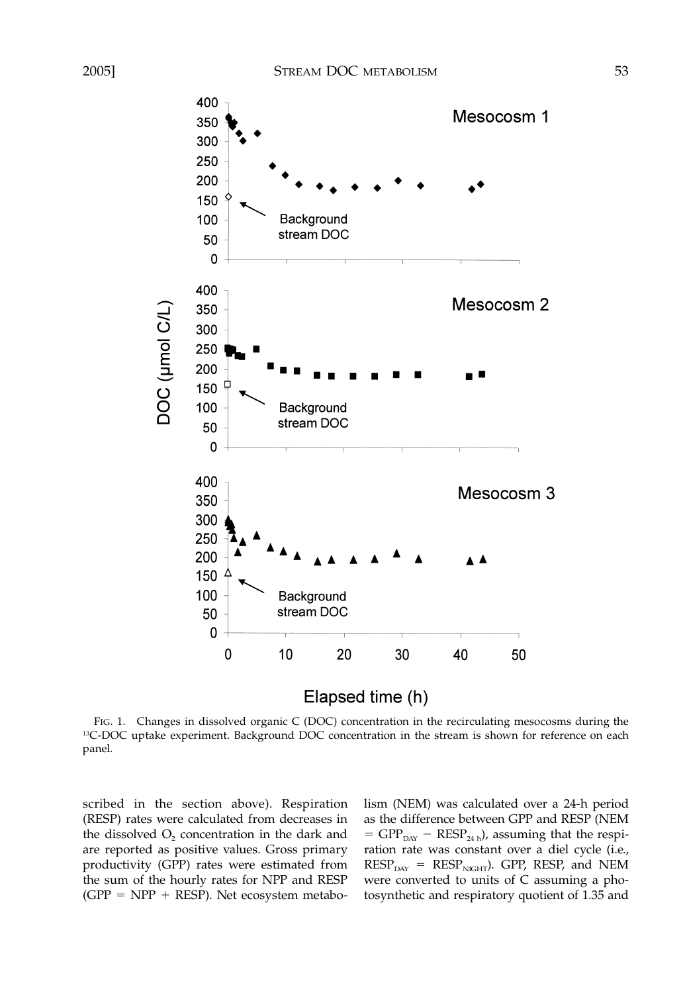

Elapsed time (h)

FIG. 1. Changes in dissolved organic C (DOC) concentration in the recirculating mesocosms during the <sup>13</sup>C-DOC uptake experiment. Background DOC concentration in the stream is shown for reference on each panel.

scribed in the section above). Respiration (RESP) rates were calculated from decreases in the dissolved  $O<sub>2</sub>$  concentration in the dark and are reported as positive values. Gross primary productivity (GPP) rates were estimated from the sum of the hourly rates for NPP and RESP  $(GPP = NPP + RESP)$ . Net ecosystem metabolism (NEM) was calculated over a 24-h period as the difference between GPP and RESP (NEM  $=$  GPP<sub>DAY</sub>  $-$  RESP<sub>24 h</sub>), assuming that the respiration rate was constant over a diel cycle (i.e.,  $RESP<sub>day</sub> = RESP<sub>NGHT</sub>$ . GPP, RESP, and NEM were converted to units of C assuming a photosynthetic and respiratory quotient of 1.35 and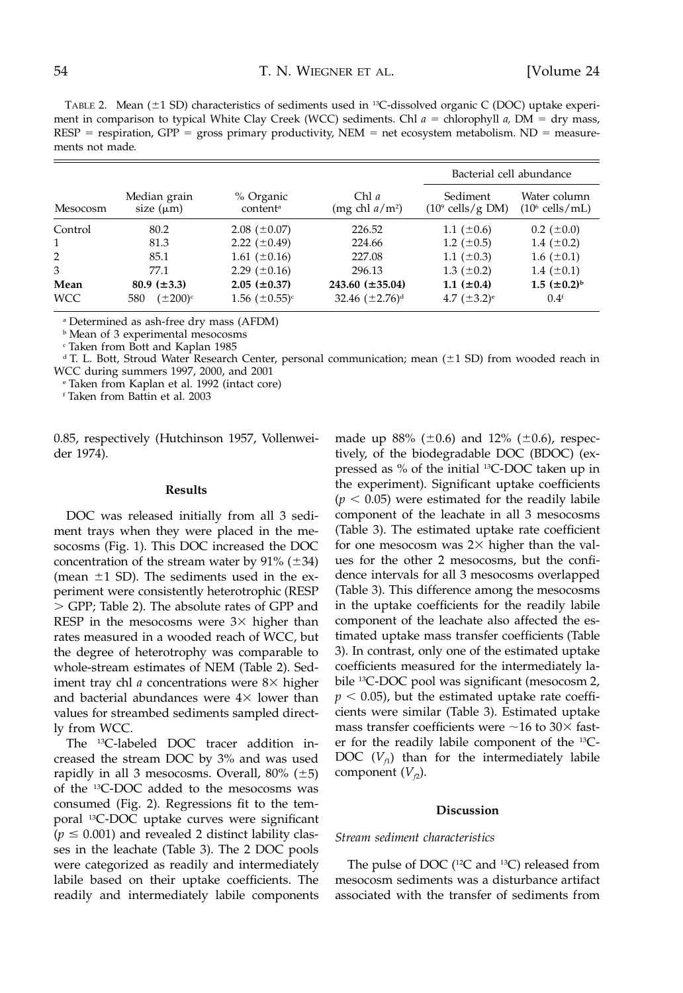TABLE 2. Mean  $(\pm 1 \text{ SD})$  characteristics of sediments used in <sup>13</sup>C-dissolved organic C (DOC) uptake experiment in comparison to typical White Clay Creek (WCC) sediments. Chl  $a =$  chlorophyll  $a$ , DM = dry mass,  $RESP =$  respiration,  $GPP =$  gross primary productivity,  $NEM =$  net ecosystem metabolism.  $ND =$  measurements not made.

|              |                                |                                   |                            |                                         | Bacterial cell abundance                  |  |
|--------------|--------------------------------|-----------------------------------|----------------------------|-----------------------------------------|-------------------------------------------|--|
| Mesocosm     | Median grain<br>size $(\mu m)$ | % Organic<br>content <sup>a</sup> | Chl a<br>(mg chl $a/m^2$ ) | Sediment<br>$(10^9 \text{ cells/g DM})$ | Water column<br>$(10^6 \text{ cells/mL})$ |  |
| Control      | 80.2                           | $2.08 \ (\pm 0.07)$               | 226.52                     | 1.1 $(\pm 0.6)$                         | $0.2~(\pm 0.0)$                           |  |
| $\mathbf{1}$ | 81.3                           | 2.22 $(\pm 0.49)$                 | 224.66                     | 1.2 $(\pm 0.5)$                         | 1.4 $(\pm 0.2)$                           |  |
| 2            | 85.1                           | 1.61 $(\pm 0.16)$                 | 227.08                     | 1.1 $(\pm 0.3)$                         | $1.6~(\pm 0.1)$                           |  |
| 3            | 77.1                           | 2.29 $(\pm 0.16)$                 | 296.13                     | 1.3 $(\pm 0.2)$                         | 1.4 $(\pm 0.1)$                           |  |
| Mean         | 80.9 $(\pm 3.3)$               | $2.05 (\pm 0.37)$                 | $243.60 (\pm 35.04)$       | $1.1 (\pm 0.4)$                         | $1.5 \ (\pm 0.2)^{b}$                     |  |
| <b>WCC</b>   | $(\pm 200)^{\circ}$<br>580     | 1.56 $(\pm 0.55)^c$               | 32.46 $(\pm 2.76)^d$       | 4.7 $(\pm 3.2)^e$                       | 0.4 <sup>f</sup>                          |  |

<sup>a</sup> Determined as ash-free dry mass (AFDM)

**b** Mean of 3 experimental mesocosms

<sup>c</sup> Taken from Bott and Kaplan 1985

 $d$  T. L. Bott, Stroud Water Research Center, personal communication; mean ( $\pm$ 1 SD) from wooded reach in WCC during summers 1997, 2000, and 2001

<sup>e</sup> Taken from Kaplan et al. 1992 (intact core)

<sup>f</sup> Taken from Battin et al. 2003

0.85, respectively (Hutchinson 1957, Vollenweider 1974).

## **Results**

DOC was released initially from all 3 sediment trays when they were placed in the mesocosms (Fig. 1). This DOC increased the DOC concentration of the stream water by  $91\%$  ( $\pm 34$ ) (mean  $\pm$ 1 SD). The sediments used in the experiment were consistently heterotrophic (RESP GPP; Table 2). The absolute rates of GPP and RESP in the mesocosms were  $3\times$  higher than rates measured in a wooded reach of WCC, but the degree of heterotrophy was comparable to whole-stream estimates of NEM (Table 2). Sediment tray chl  $a$  concentrations were  $8\times$  higher and bacterial abundances were  $4\times$  lower than values for streambed sediments sampled directly from WCC.

The 13C-labeled DOC tracer addition increased the stream DOC by 3% and was used rapidly in all 3 mesocosms. Overall,  $80\%$  ( $\pm 5$ ) of the 13C-DOC added to the mesocosms was consumed (Fig. 2). Regressions fit to the temporal 13C-DOC uptake curves were significant  $(p \le 0.001)$  and revealed 2 distinct lability classes in the leachate (Table 3). The 2 DOC pools were categorized as readily and intermediately labile based on their uptake coefficients. The readily and intermediately labile components

made up  $88\%$  ( $\pm 0.6$ ) and 12% ( $\pm 0.6$ ), respectively, of the biodegradable DOC (BDOC) (expressed as % of the initial 13C-DOC taken up in the experiment). Significant uptake coefficients  $(p < 0.05)$  were estimated for the readily labile component of the leachate in all 3 mesocosms (Table 3). The estimated uptake rate coefficient for one mesocosm was  $2\times$  higher than the values for the other 2 mesocosms, but the confidence intervals for all 3 mesocosms overlapped (Table 3). This difference among the mesocosms in the uptake coefficients for the readily labile component of the leachate also affected the estimated uptake mass transfer coefficients (Table 3). In contrast, only one of the estimated uptake coefficients measured for the intermediately labile 13C-DOC pool was significant (mesocosm 2,  $p < 0.05$ ), but the estimated uptake rate coefficients were similar (Table 3). Estimated uptake mass transfer coefficients were  $\sim$ 16 to 30 $\times$  faster for the readily labile component of the 13C-DOC  $(V<sub>f1</sub>)$  than for the intermediately labile component  $(V_{f2})$ .

#### **Discussion**

#### *Stream sediment characteristics*

The pulse of DOC (<sup>12</sup>C and <sup>13</sup>C) released from mesocosm sediments was a disturbance artifact associated with the transfer of sediments from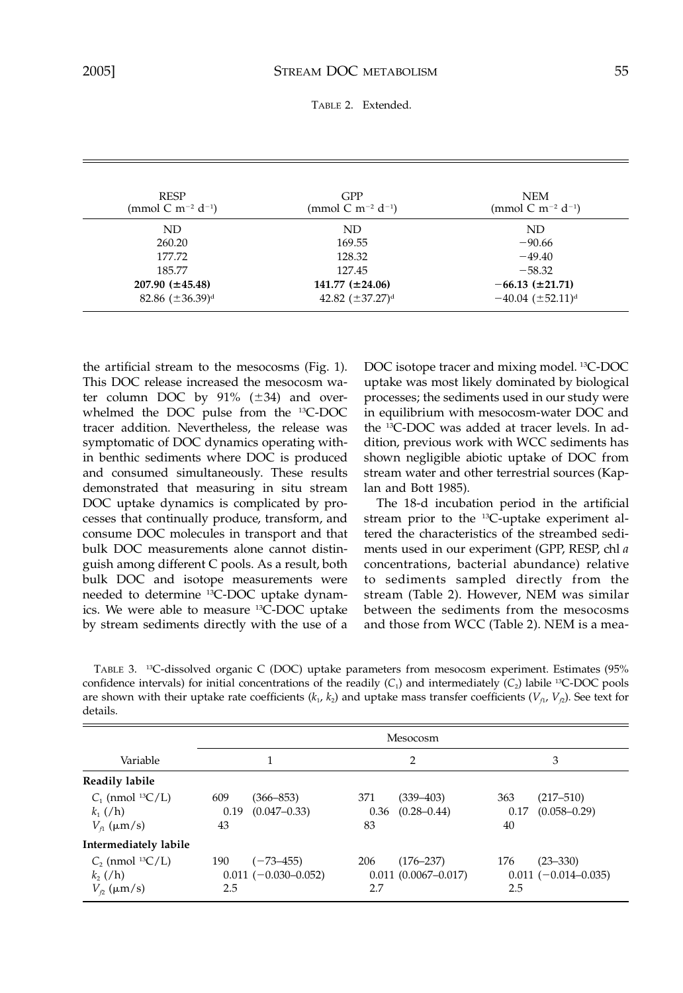TABLE 2. Extended.

| <b>RESP</b><br>(mmol C m <sup>-2</sup> d <sup>-1</sup> ) | <b>GPP</b><br>(mmol C m <sup>-2</sup> d <sup>-1</sup> ) | <b>NEM</b><br>(mmol C m <sup>-2</sup> d <sup>-1</sup> ) |
|----------------------------------------------------------|---------------------------------------------------------|---------------------------------------------------------|
| ND                                                       | ND                                                      | ND.                                                     |
| 260.20                                                   | 169.55                                                  | $-90.66$                                                |
| 177.72                                                   | 128.32                                                  | $-49.40$                                                |
| 185.77                                                   | 127.45                                                  | $-58.32$                                                |
| $207.90 \ (\pm 45.48)$                                   | $141.77 (\pm 24.06)$                                    | $-66.13 \ (\pm 21.71)$                                  |
| 82.86 $(\pm 36.39)^d$                                    | 42.82 $(\pm 37.27)^d$                                   | $-40.04$ ( $\pm$ 52.11) <sup>d</sup>                    |

the artificial stream to the mesocosms (Fig. 1). This DOC release increased the mesocosm water column DOC by  $91\%$  ( $\pm 34$ ) and overwhelmed the DOC pulse from the 13C-DOC tracer addition. Nevertheless, the release was symptomatic of DOC dynamics operating within benthic sediments where DOC is produced and consumed simultaneously. These results demonstrated that measuring in situ stream DOC uptake dynamics is complicated by processes that continually produce, transform, and consume DOC molecules in transport and that bulk DOC measurements alone cannot distinguish among different C pools. As a result, both bulk DOC and isotope measurements were needed to determine <sup>13</sup>C-DOC uptake dynamics. We were able to measure 13C-DOC uptake by stream sediments directly with the use of a

DOC isotope tracer and mixing model. 13C-DOC uptake was most likely dominated by biological processes; the sediments used in our study were in equilibrium with mesocosm-water DOC and the 13C-DOC was added at tracer levels. In addition, previous work with WCC sediments has shown negligible abiotic uptake of DOC from stream water and other terrestrial sources (Kaplan and Bott 1985).

The 18-d incubation period in the artificial stream prior to the 13C-uptake experiment altered the characteristics of the streambed sediments used in our experiment (GPP, RESP, chl *a* concentrations, bacterial abundance) relative to sediments sampled directly from the stream (Table 2). However, NEM was similar between the sediments from the mesocosms and those from WCC (Table 2). NEM is a mea-

TABLE 3. 13C-dissolved organic C (DOC) uptake parameters from mesocosm experiment. Estimates (95% confidence intervals) for initial concentrations of the readily  $(C_1)$  and intermediately  $(C_2)$  labile <sup>13</sup>C-DOC pools are shown with their uptake rate coefficients  $(k_1, k_2)$  and uptake mass transfer coefficients  $(V_{f_1}, V_{f_2})$ . See text for details.

|                                                                             |                                                         | Mesocosm                                               |                                                        |
|-----------------------------------------------------------------------------|---------------------------------------------------------|--------------------------------------------------------|--------------------------------------------------------|
| Variable                                                                    |                                                         | 2                                                      | 3                                                      |
| Readily labile                                                              |                                                         |                                                        |                                                        |
| $C1$ (nmol <sup>13</sup> C/L)<br>$k_1$ (/h)<br>$V_{\text{fl}}$ ( $\mu$ m/s) | 609<br>(366–853)<br>0.19<br>$(0.047 - 0.33)$<br>43      | 371<br>(339–403)<br>$(0.28 - 0.44)$<br>0.36<br>83      | 363<br>$(217 - 510)$<br>$(0.058 - 0.29)$<br>0.17<br>40 |
| Intermediately labile                                                       |                                                         |                                                        |                                                        |
| $C_2$ (nmol <sup>13</sup> C/L)<br>k, (h)<br>$V_p$ ( $\mu$ m/s)              | 190<br>$(-73 - 455)$<br>$0.011 (-0.030 - 0.052)$<br>2.5 | 206<br>$(176 - 237)$<br>$0.011(0.0067 - 0.017)$<br>2.7 | 176<br>$(23 - 330)$<br>$0.011 (-0.014 - 0.035)$<br>2.5 |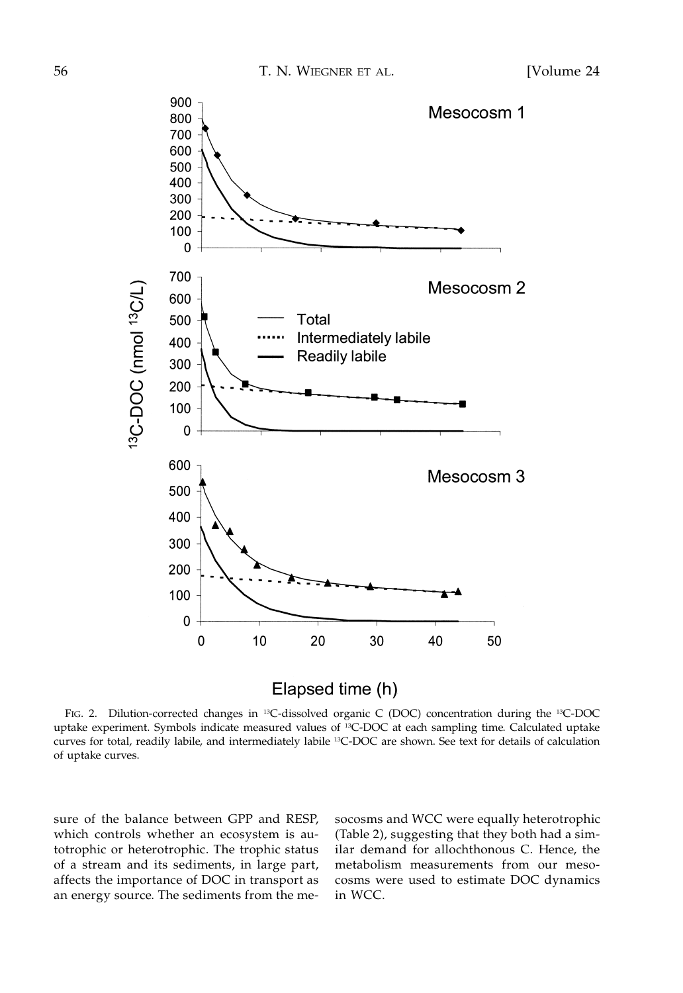

Elapsed time (h)

FIG. 2. Dilution-corrected changes in <sup>13</sup>C-dissolved organic C (DOC) concentration during the <sup>13</sup>C-DOC uptake experiment. Symbols indicate measured values of 13C-DOC at each sampling time. Calculated uptake curves for total, readily labile, and intermediately labile 13C-DOC are shown. See text for details of calculation of uptake curves.

sure of the balance between GPP and RESP, which controls whether an ecosystem is autotrophic or heterotrophic. The trophic status of a stream and its sediments, in large part, affects the importance of DOC in transport as an energy source. The sediments from the mesocosms and WCC were equally heterotrophic (Table 2), suggesting that they both had a similar demand for allochthonous C. Hence, the metabolism measurements from our mesocosms were used to estimate DOC dynamics in WCC.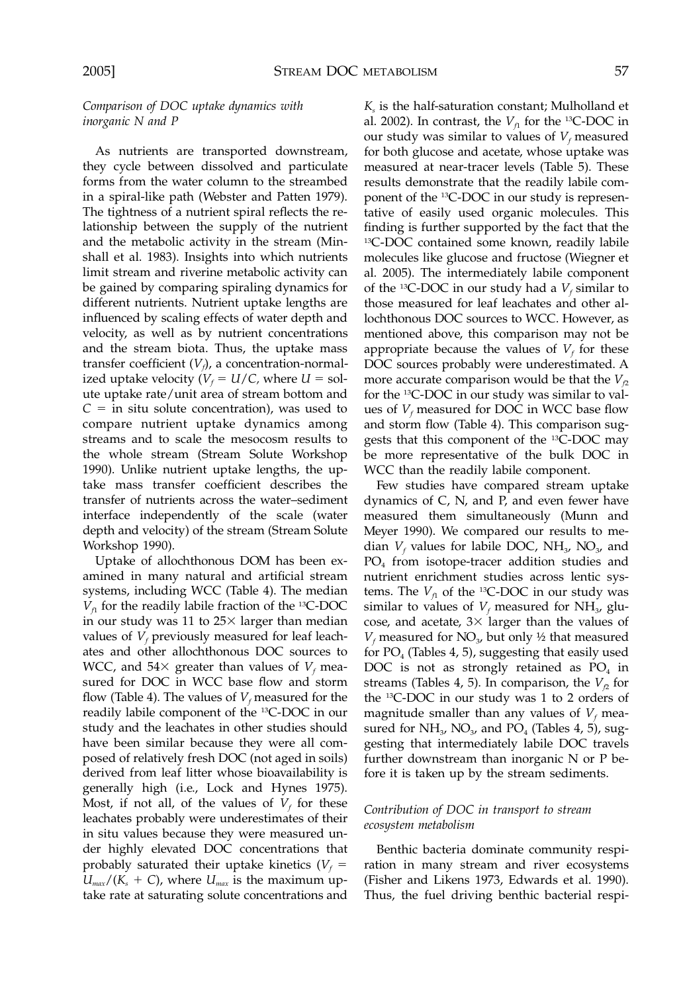# *Comparison of DOC uptake dynamics with inorganic N and P*

As nutrients are transported downstream, they cycle between dissolved and particulate forms from the water column to the streambed in a spiral-like path (Webster and Patten 1979). The tightness of a nutrient spiral reflects the relationship between the supply of the nutrient and the metabolic activity in the stream (Minshall et al. 1983). Insights into which nutrients limit stream and riverine metabolic activity can be gained by comparing spiraling dynamics for different nutrients. Nutrient uptake lengths are influenced by scaling effects of water depth and velocity, as well as by nutrient concentrations and the stream biota. Thus, the uptake mass transfer coefficient  $(V_f)$ , a concentration-normalized uptake velocity ( $V_f = U/C$ , where  $U = sol$ ute uptake rate/unit area of stream bottom and  $C =$  in situ solute concentration), was used to compare nutrient uptake dynamics among streams and to scale the mesocosm results to the whole stream (Stream Solute Workshop 1990). Unlike nutrient uptake lengths, the uptake mass transfer coefficient describes the transfer of nutrients across the water–sediment interface independently of the scale (water depth and velocity) of the stream (Stream Solute Workshop 1990).

Uptake of allochthonous DOM has been examined in many natural and artificial stream systems, including WCC (Table 4). The median  $V_f$  for the readily labile fraction of the <sup>13</sup>C-DOC in our study was 11 to  $25\times$  larger than median values of  $V_f$  previously measured for leaf leachates and other allochthonous DOC sources to WCC, and 54 $\times$  greater than values of  $V_f$  measured for DOC in WCC base flow and storm flow (Table 4). The values of  $V_f$  measured for the readily labile component of the 13C-DOC in our study and the leachates in other studies should have been similar because they were all composed of relatively fresh DOC (not aged in soils) derived from leaf litter whose bioavailability is generally high (i.e., Lock and Hynes 1975). Most, if not all, of the values of  $V_f$  for these leachates probably were underestimates of their in situ values because they were measured under highly elevated DOC concentrations that probably saturated their uptake kinetics  $(V_f =$  $U_{max}/(K_s + C)$ , where  $U_{max}$  is the maximum uptake rate at saturating solute concentrations and *Ks* is the half-saturation constant; Mulholland et al. 2002). In contrast, the  $V_f$  for the <sup>13</sup>C-DOC in our study was similar to values of  $V_f$  measured for both glucose and acetate, whose uptake was measured at near-tracer levels (Table 5). These results demonstrate that the readily labile component of the 13C-DOC in our study is representative of easily used organic molecules. This finding is further supported by the fact that the 13C-DOC contained some known, readily labile molecules like glucose and fructose (Wiegner et al. 2005). The intermediately labile component of the <sup>13</sup>C-DOC in our study had a  $V_f$  similar to those measured for leaf leachates and other allochthonous DOC sources to WCC. However, as mentioned above, this comparison may not be appropriate because the values of  $V_f$  for these DOC sources probably were underestimated. A more accurate comparison would be that the  $V_p$ for the 13C-DOC in our study was similar to values of  $V_f$  measured for DOC in WCC base flow and storm flow (Table 4). This comparison suggests that this component of the 13C-DOC may be more representative of the bulk DOC in WCC than the readily labile component.

Few studies have compared stream uptake dynamics of C, N, and P, and even fewer have measured them simultaneously (Munn and Meyer 1990). We compared our results to median  $V_f$  values for labile DOC,  $NH_3$ ,  $NO_3$ , and PO<sub>4</sub> from isotope-tracer addition studies and nutrient enrichment studies across lentic systems. The  $V_f$  of the <sup>13</sup>C-DOC in our study was similar to values of  $V_f$  measured for NH<sub>3</sub>, glucose, and acetate,  $3 \times$  larger than the values of  $V_f$  measured for  $NO_{3}$ , but only  $\frac{1}{2}$  that measured for  $PO_4$  (Tables 4, 5), suggesting that easily used DOC is not as strongly retained as  $PO<sub>4</sub>$  in streams (Tables 4, 5). In comparison, the  $V<sub>2</sub>$  for the 13C-DOC in our study was 1 to 2 orders of magnitude smaller than any values of  $V_f$  measured for  $NH_{3}$ ,  $NO_{3}$ , and  $PO_{4}$  (Tables 4, 5), suggesting that intermediately labile DOC travels further downstream than inorganic N or P before it is taken up by the stream sediments.

# *Contribution of DOC in transport to stream ecosystem metabolism*

Benthic bacteria dominate community respiration in many stream and river ecosystems (Fisher and Likens 1973, Edwards et al. 1990). Thus, the fuel driving benthic bacterial respi-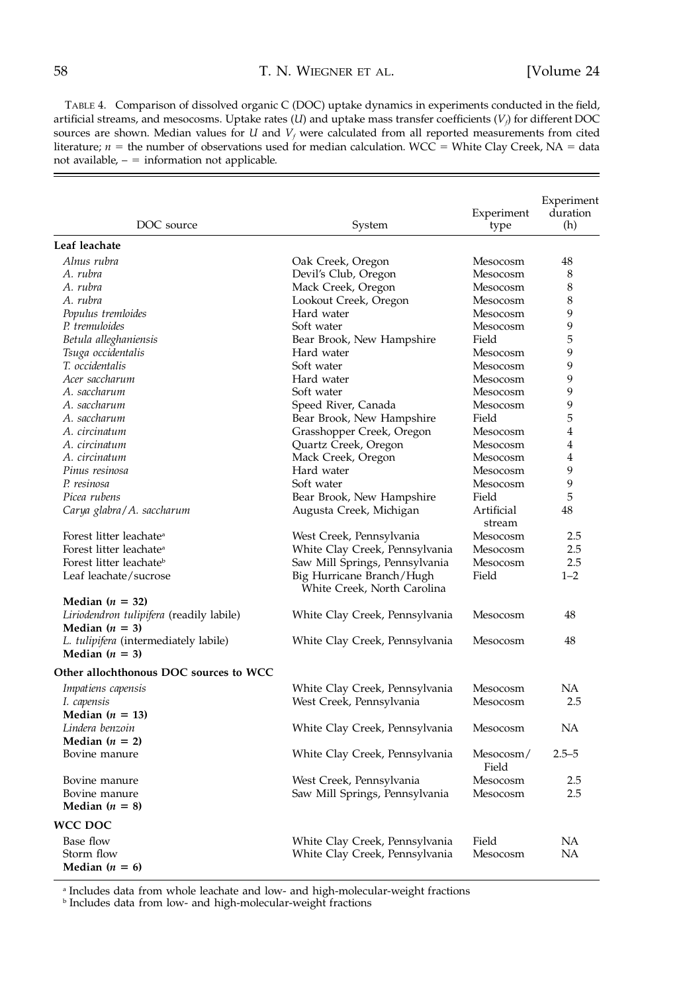TABLE 4. Comparison of dissolved organic C (DOC) uptake dynamics in experiments conducted in the field, artificial streams, and mesocosms. Uptake rates (*U*) and uptake mass transfer coefficients (*V<sub>f</sub>*) for different DOC sources are shown. Median values for *U* and *V<sub>f</sub>* were calculated from all reported measurements from cited literature;  $n =$  the number of observations used for median calculation. WCC = White Clay Creek, NA = data not available,  $-$  = information not applicable.

| DOC source                                                   | System                                                   | Experiment<br>type   | Experiment<br>duration<br>(h) |
|--------------------------------------------------------------|----------------------------------------------------------|----------------------|-------------------------------|
| Leaf leachate                                                |                                                          |                      |                               |
| Alnus rubra                                                  | Oak Creek, Oregon                                        | Mesocosm             | 48                            |
| A. rubra                                                     | Devil's Club, Oregon                                     | Mesocosm             | 8                             |
| A. rubra                                                     | Mack Creek, Oregon                                       | Mesocosm             | 8                             |
| A. rubra                                                     | Lookout Creek, Oregon                                    | Mesocosm             | 8                             |
| Populus tremloides                                           | Hard water                                               | Mesocosm             | 9                             |
| P. tremuloides                                               | Soft water                                               | Mesocosm             | 9                             |
| Betula alleghaniensis                                        | Bear Brook, New Hampshire                                | Field                | 5                             |
| Tsuga occidentalis                                           | Hard water                                               | Mesocosm             | 9                             |
| T. occidentalis                                              | Soft water                                               | Mesocosm             | 9                             |
| Acer saccharum                                               | Hard water                                               | Mesocosm             | 9                             |
| A. saccharum                                                 | Soft water                                               | Mesocosm             | 9                             |
| A. saccharum                                                 | Speed River, Canada                                      | Mesocosm             | 9                             |
| A. saccharum                                                 | Bear Brook, New Hampshire                                | Field                | 5                             |
| A. circinatum                                                | Grasshopper Creek, Oregon                                | Mesocosm             | 4                             |
| A. circinatum                                                | Quartz Creek, Oregon                                     | Mesocosm             | 4                             |
| A. circinatum                                                | Mack Creek, Oregon                                       | Mesocosm             | $\overline{4}$                |
| Pinus resinosa                                               | Hard water                                               | Mesocosm             | 9                             |
| P. resinosa                                                  | Soft water                                               | Mesocosm             | 9                             |
| Picea rubens                                                 | Bear Brook, New Hampshire                                | Field                | 5                             |
| Carya glabra/A. saccharum                                    | Augusta Creek, Michigan                                  | Artificial<br>stream | 48                            |
| Forest litter leachate <sup>a</sup>                          | West Creek, Pennsylvania                                 | Mesocosm             | 2.5                           |
| Forest litter leachate <sup>a</sup>                          | White Clay Creek, Pennsylvania                           | Mesocosm             | 2.5                           |
| Forest litter leachate <sup>b</sup>                          | Saw Mill Springs, Pennsylvania                           | Mesocosm             | 2.5                           |
| Leaf leachate/sucrose                                        | Big Hurricane Branch/Hugh<br>White Creek, North Carolina | Field                | $1 - 2$                       |
| Median $(n = 32)$                                            |                                                          |                      |                               |
| Liriodendron tulipifera (readily labile)<br>Median $(n = 3)$ | White Clay Creek, Pennsylvania                           | Mesocosm             | 48                            |
| L. tulipifera (intermediately labile)<br>Median $(n = 3)$    | White Clay Creek, Pennsylvania                           | Mesocosm             | 48                            |
| Other allochthonous DOC sources to WCC                       |                                                          |                      |                               |
| Impatiens capensis                                           | White Clay Creek, Pennsylvania                           | Mesocosm             | <b>NA</b>                     |
| I. capensis                                                  | West Creek, Pennsylvania                                 | Mesocosm             | 2.5                           |
| Median $(n = 13)$                                            |                                                          |                      |                               |
| Lindera benzoin                                              | White Clay Creek, Pennsylvania                           | Mesocosm             | NA                            |
| Median $(n = 2)$                                             |                                                          |                      |                               |
| Bovine manure                                                | White Clay Creek, Pennsylvania                           | Mesocosm/<br>Field   | $2.5 - 5$                     |
| Bovine manure                                                | West Creek, Pennsylvania                                 | Mesocosm             | 2.5                           |
| Bovine manure                                                | Saw Mill Springs, Pennsylvania                           | Mesocosm             | 2.5                           |
| Median $(n = 8)$                                             |                                                          |                      |                               |
| WCC DOC                                                      |                                                          |                      |                               |
| Base flow                                                    | White Clay Creek, Pennsylvania                           | Field                | NА                            |
| Storm flow                                                   | White Clay Creek, Pennsylvania                           | Mesocosm             | NA                            |
| Median ( $n = 6$ )                                           |                                                          |                      |                               |

<sup>a</sup> Includes data from whole leachate and low- and high-molecular-weight fractions

 $^{\rm b}$  Includes data from low- and high-molecular-weight fractions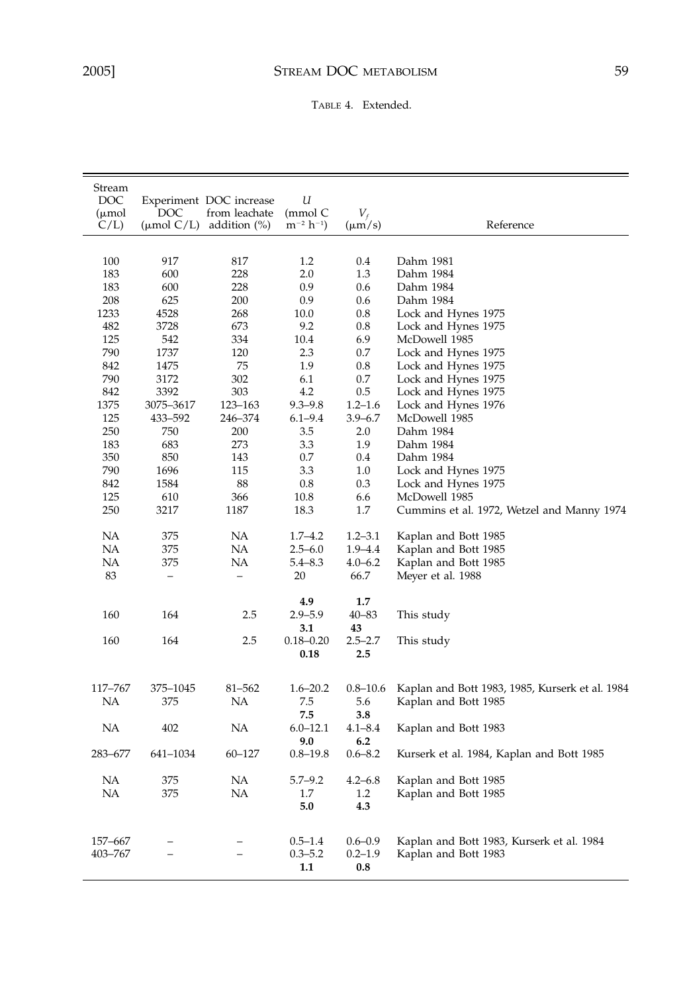TABLE 4. Extended.

| Stream          |                        |                         |                 |              |                                                                   |
|-----------------|------------------------|-------------------------|-----------------|--------------|-------------------------------------------------------------------|
| DOC             |                        | Experiment DOC increase | U               |              |                                                                   |
| (µmol           | DOC                    | from leachate           | (mmol C         | $V_f$        |                                                                   |
| C/L             | $(\mu \text{mol C/L})$ | addition $(\%)$         | $m^{-2} h^{-1}$ | $(\mu m/s)$  | Reference                                                         |
|                 |                        |                         |                 |              |                                                                   |
| 100             | 917                    | 817                     | 1.2             | 0.4          | Dahm 1981                                                         |
| 183             | 600                    | 228                     | 2.0             | 1.3          | Dahm 1984                                                         |
| 183             | 600                    | 228                     | 0.9             | 0.6          | Dahm 1984                                                         |
| 208             | 625                    | 200                     | 0.9             | 0.6          | Dahm 1984                                                         |
| 1233            | 4528                   | 268                     | 10.0            | 0.8          | Lock and Hynes 1975                                               |
| 482             | 3728                   | 673                     | 9.2             | 0.8          | Lock and Hynes 1975                                               |
| 125             | 542                    | 334                     | 10.4            | 6.9          | McDowell 1985                                                     |
| 790             | 1737                   | 120                     | 2.3             | 0.7          | Lock and Hynes 1975                                               |
| 842             | 1475                   | 75                      | 1.9             | 0.8          | Lock and Hynes 1975                                               |
| 790             | 3172                   | 302                     | 6.1             | 0.7          | Lock and Hynes 1975                                               |
| 842             | 3392                   | 303                     | 4.2             | 0.5          | Lock and Hynes 1975                                               |
| 1375            | 3075–3617              | 123-163                 | $9.3 - 9.8$     | $1.2 - 1.6$  | Lock and Hynes 1976                                               |
| 125             | 433-592                | 246-374                 | $6.1 - 9.4$     | $3.9 - 6.7$  | McDowell 1985                                                     |
| 250             | 750                    | 200                     | 3.5             | 2.0          | Dahm 1984                                                         |
| 183             | 683                    | 273                     | 3.3             | 1.9          | Dahm 1984                                                         |
| 350             | 850                    | 143                     | 0.7             | 0.4          | Dahm 1984                                                         |
| 790             | 1696                   | 115                     | 3.3             | 1.0          | Lock and Hynes 1975                                               |
| 842             | 1584                   | 88                      | 0.8             | 0.3          | Lock and Hynes 1975                                               |
| 125             | 610                    | 366                     | 10.8            | 6.6          | McDowell 1985                                                     |
| 250             | 3217                   | 1187                    | 18.3            | 1.7          | Cummins et al. 1972, Wetzel and Manny 1974                        |
| NА              | 375                    | NA                      | $1.7 - 4.2$     | $1.2 - 3.1$  | Kaplan and Bott 1985                                              |
| NA              | 375                    | NA                      | $2.5 - 6.0$     | $1.9 - 4.4$  | Kaplan and Bott 1985                                              |
| NA              | 375                    | NA                      | $5.4 - 8.3$     | $4.0 - 6.2$  | Kaplan and Bott 1985                                              |
| 83              |                        |                         | 20              | 66.7         | Meyer et al. 1988                                                 |
|                 |                        |                         | 4.9             | 1.7          |                                                                   |
| 160             | 164                    | 2.5                     | $2.9 - 5.9$     | $40 - 83$    | This study                                                        |
|                 |                        |                         | 3.1             | 43           |                                                                   |
| 160             | 164                    | 2.5                     | $0.18 - 0.20$   | $2.5 - 2.7$  | This study                                                        |
|                 |                        |                         | 0.18            | 2.5          |                                                                   |
|                 |                        |                         |                 |              |                                                                   |
| 117-767         | 375-1045               | 81-562                  | $1.6 - 20.2$    | $0.8 - 10.6$ | Kaplan and Bott 1983, 1985, Kurserk et al. 1984                   |
| NA              | 375                    | NA                      | 7.5             | 5.6          | Kaplan and Bott 1985                                              |
|                 |                        |                         | 7.5             | 3.8          |                                                                   |
| NА              | 402                    | NA                      | $6.0 - 12.1$    | $4.1 - 8.4$  | Kaplan and Bott 1983                                              |
|                 |                        |                         | 9.0             | 6.2          |                                                                   |
| 283-677         | 641-1034               | 60-127                  | $0.8 - 19.8$    | $0.6 - 8.2$  | Kurserk et al. 1984, Kaplan and Bott 1985                         |
|                 |                        |                         |                 |              |                                                                   |
| NA<br><b>NA</b> | 375<br>375             | NA                      | $5.7 - 9.2$     | $4.2 - 6.8$  | Kaplan and Bott 1985                                              |
|                 |                        | NA                      | 1.7             | 1.2          | Kaplan and Bott 1985                                              |
|                 |                        |                         | 5.0             | 4.3          |                                                                   |
| 157-667         |                        |                         | $0.5 - 1.4$     | $0.6 - 0.9$  |                                                                   |
| 403-767         |                        |                         | $0.3 - 5.2$     | $0.2 - 1.9$  | Kaplan and Bott 1983, Kurserk et al. 1984<br>Kaplan and Bott 1983 |
|                 |                        |                         | 1.1             | 0.8          |                                                                   |
|                 |                        |                         |                 |              |                                                                   |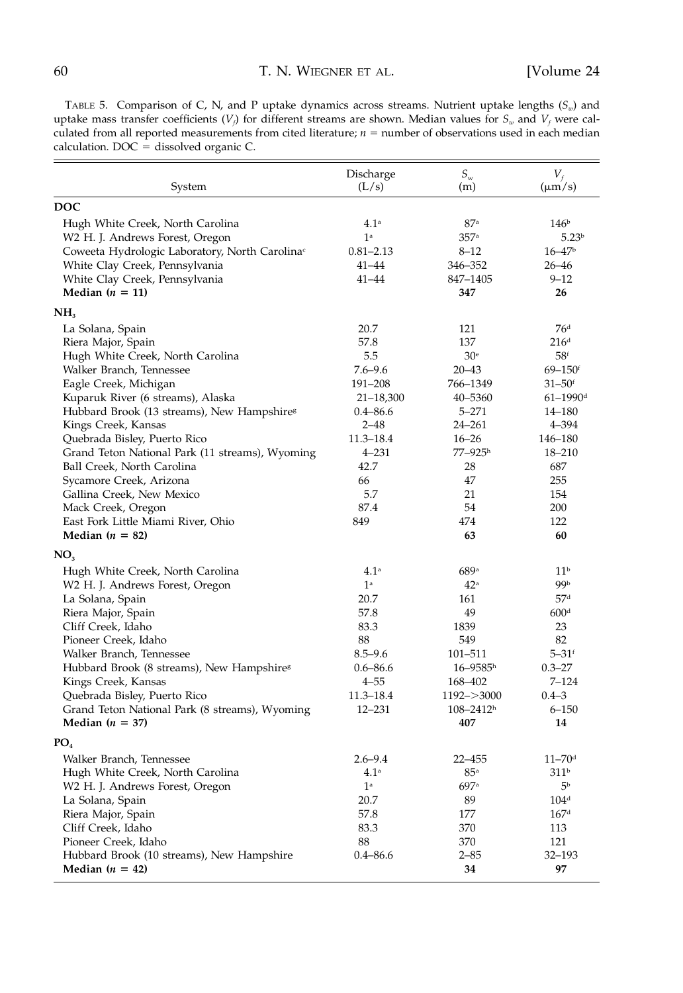TABLE 5. Comparison of C, N, and P uptake dynamics across streams. Nutrient uptake lengths  $(S_w)$  and uptake mass transfer coefficients  $(V_f)$  for different streams are shown. Median values for  $S_w$  and  $V_f$  were calculated from all reported measurements from cited literature;  $n =$  number of observations used in each median calculation.  $DOC =$  dissolved organic  $C$ .

| System                                                                                                                                                                                                                                                                                                                                                                                                                                                                                     | Discharge<br>(L/s)                                                                                                                                       | $S_{\rm w}$<br>(m)                                                                                                                                                  | $V_f$<br>$(\mu m/s)$                                                                                                                                                                                               |
|--------------------------------------------------------------------------------------------------------------------------------------------------------------------------------------------------------------------------------------------------------------------------------------------------------------------------------------------------------------------------------------------------------------------------------------------------------------------------------------------|----------------------------------------------------------------------------------------------------------------------------------------------------------|---------------------------------------------------------------------------------------------------------------------------------------------------------------------|--------------------------------------------------------------------------------------------------------------------------------------------------------------------------------------------------------------------|
| <b>DOC</b>                                                                                                                                                                                                                                                                                                                                                                                                                                                                                 |                                                                                                                                                          |                                                                                                                                                                     |                                                                                                                                                                                                                    |
| Hugh White Creek, North Carolina<br>W2 H. J. Andrews Forest, Oregon<br>Coweeta Hydrologic Laboratory, North Carolina <sup>c</sup><br>White Clay Creek, Pennsylvania<br>White Clay Creek, Pennsylvania<br>Median $(n = 11)$                                                                                                                                                                                                                                                                 | 4.1 <sup>a</sup><br>1 <sup>a</sup><br>0.81–2.13<br>$41 - 44$<br>41-44                                                                                    | 87a<br>357 <sup>a</sup><br>$8 - 12$<br>346-352<br>847-1405<br>347                                                                                                   | 146 <sup>b</sup><br>5.23 <sup>b</sup><br>$16 - 47$<br>$26 - 46$<br>$9 - 12$<br>26                                                                                                                                  |
|                                                                                                                                                                                                                                                                                                                                                                                                                                                                                            |                                                                                                                                                          |                                                                                                                                                                     |                                                                                                                                                                                                                    |
| NH <sub>3</sub>                                                                                                                                                                                                                                                                                                                                                                                                                                                                            |                                                                                                                                                          |                                                                                                                                                                     |                                                                                                                                                                                                                    |
| La Solana, Spain<br>Riera Major, Spain<br>Hugh White Creek, North Carolina<br>Walker Branch, Tennessee<br>Eagle Creek, Michigan<br>Kuparuk River (6 streams), Alaska<br>Hubbard Brook (13 streams), New Hampshire <sup>s</sup><br>Kings Creek, Kansas<br>Quebrada Bisley, Puerto Rico<br>Grand Teton National Park (11 streams), Wyoming<br>Ball Creek, North Carolina<br>Sycamore Creek, Arizona<br>Gallina Creek, New Mexico<br>Mack Creek, Oregon<br>East Fork Little Miami River, Ohio | 20.7<br>57.8<br>5.5<br>$7.6 - 9.6$<br>191-208<br>$21 - 18,300$<br>$0.4 - 86.6$<br>$2 - 48$<br>11.3-18.4<br>$4 - 231$<br>42.7<br>66<br>5.7<br>87.4<br>849 | 121<br>137<br>30 <sup>e</sup><br>$20 - 43$<br>766-1349<br>40-5360<br>$5 - 271$<br>$24 - 261$<br>$16 - 26$<br>$77 - 925$ <sup>h</sup><br>28<br>47<br>21<br>54<br>474 | 76 <sup>d</sup><br>216 <sup>d</sup><br>58 <sup>f</sup><br>$69 - 150$ <sup>f</sup><br>$31 - 50$ <sup>f</sup><br>$61 - 1990$ <sup>d</sup><br>14–180<br>4–394<br>146–180<br>18-210<br>687<br>255<br>154<br>200<br>122 |
| Median $(n = 82)$                                                                                                                                                                                                                                                                                                                                                                                                                                                                          |                                                                                                                                                          | 63                                                                                                                                                                  | 60                                                                                                                                                                                                                 |
| NO <sub>3</sub>                                                                                                                                                                                                                                                                                                                                                                                                                                                                            |                                                                                                                                                          |                                                                                                                                                                     |                                                                                                                                                                                                                    |
| Hugh White Creek, North Carolina<br>W2 H. J. Andrews Forest, Oregon<br>La Solana, Spain<br>Riera Major, Spain<br>Cliff Creek, Idaho<br>Pioneer Creek, Idaho<br>Walker Branch, Tennessee<br>Hubbard Brook (8 streams), New Hampshire <sup>8</sup><br>Kings Creek, Kansas<br>Quebrada Bisley, Puerto Rico<br>Grand Teton National Park (8 streams), Wyoming<br>Median $(n = 37)$                                                                                                             | 4.1 <sup>a</sup><br>1 <sup>a</sup><br>20.7<br>57.8<br>83.3<br>88<br>$8.5 - 9.6$<br>$0.6 - 86.6$<br>$4 - 55$<br>11.3-18.4<br>12-231                       | 689a<br>42 <sup>a</sup><br>161<br>49<br>1839<br>549<br>101-511<br>$16 - 9585$ <sup>h</sup><br>168–402<br>$1192 - > 3000$<br>$108 - 2412$ <sup>h</sup><br>407        | 11 <sup>b</sup><br>99b<br>57 <sup>d</sup><br>600 <sup>d</sup><br>23<br>82<br>$5 - 31$ <sup>f</sup><br>$0.3 - 27$<br>7–124<br>$0.4 - 3$<br>$6 - 150$<br>14                                                          |
| PO <sub>4</sub>                                                                                                                                                                                                                                                                                                                                                                                                                                                                            |                                                                                                                                                          |                                                                                                                                                                     |                                                                                                                                                                                                                    |
| Walker Branch, Tennessee<br>Hugh White Creek, North Carolina<br>W2 H. J. Andrews Forest, Oregon<br>La Solana, Spain<br>Riera Major, Spain<br>Cliff Creek, Idaho<br>Pioneer Creek, Idaho<br>Hubbard Brook (10 streams), New Hampshire<br>Median $(n = 42)$                                                                                                                                                                                                                                  | $2.6 - 9.4$<br>4.1 <sup>a</sup><br>$1^{\rm a}$<br>20.7<br>57.8<br>83.3<br>88<br>$0.4 - 86.6$                                                             | $22 - 455$<br>$85^{\rm a}$<br>697ª<br>89<br>177<br>370<br>370<br>$2 - 85$<br>34                                                                                     | $11 - 70$ <sup>d</sup><br>311 <sup>b</sup><br>5Ь<br>104 <sup>d</sup><br>167 <sup>d</sup><br>113<br>121<br>32-193<br>97                                                                                             |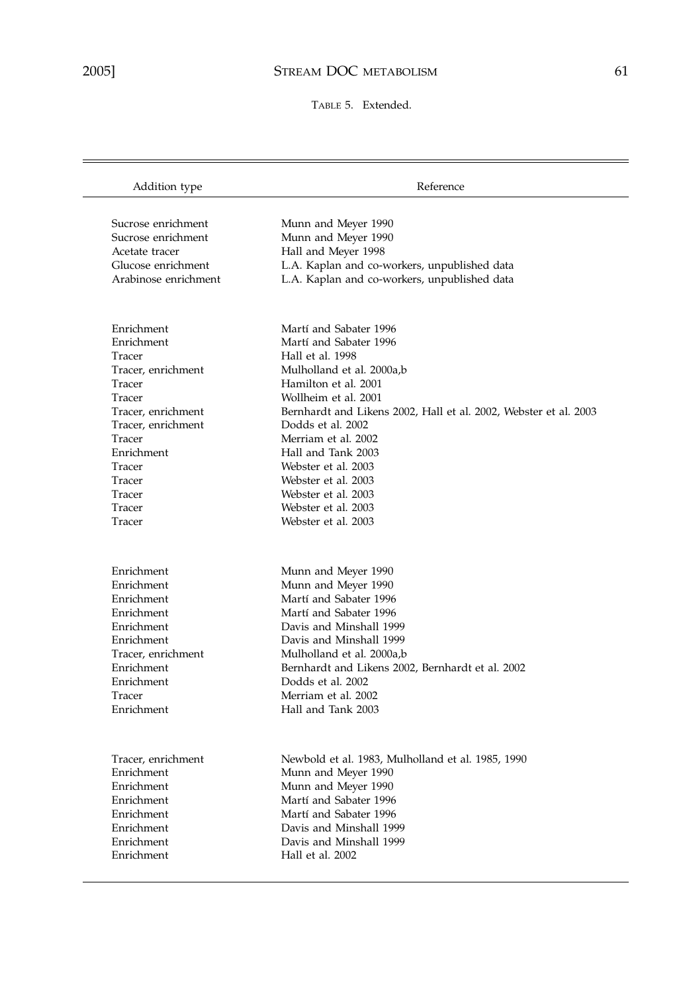$\overline{\phantom{0}}$ 

TABLE 5. Extended.

| Addition type                            | Reference                                                        |
|------------------------------------------|------------------------------------------------------------------|
|                                          |                                                                  |
| Sucrose enrichment<br>Sucrose enrichment | Munn and Meyer 1990                                              |
| Acetate tracer                           | Munn and Meyer 1990<br>Hall and Meyer 1998                       |
| Glucose enrichment                       | L.A. Kaplan and co-workers, unpublished data                     |
| Arabinose enrichment                     | L.A. Kaplan and co-workers, unpublished data                     |
|                                          |                                                                  |
| Enrichment                               | Martí and Sabater 1996                                           |
| Enrichment                               | Martí and Sabater 1996                                           |
| Tracer                                   | Hall et al. 1998                                                 |
| Tracer, enrichment                       | Mulholland et al. 2000a,b                                        |
| Tracer                                   | Hamilton et al. 2001                                             |
| Tracer                                   | Wollheim et al. 2001                                             |
| Tracer, enrichment                       | Bernhardt and Likens 2002, Hall et al. 2002, Webster et al. 2003 |
| Tracer, enrichment                       | Dodds et al. 2002                                                |
| Tracer                                   | Merriam et al. 2002                                              |
| Enrichment                               | Hall and Tank 2003                                               |
| Tracer                                   | Webster et al. 2003                                              |
| Tracer                                   | Webster et al. 2003                                              |
| Tracer                                   | Webster et al. 2003                                              |
| Tracer                                   | Webster et al. 2003                                              |
| Tracer                                   | Webster et al. 2003                                              |
|                                          |                                                                  |
| Enrichment                               | Munn and Meyer 1990                                              |
| Enrichment                               | Munn and Meyer 1990                                              |
| Enrichment                               | Martí and Sabater 1996                                           |
| Enrichment                               | Martí and Sabater 1996                                           |
| Enrichment                               | Davis and Minshall 1999                                          |
| Enrichment                               | Davis and Minshall 1999                                          |
| Tracer, enrichment                       | Mulholland et al. 2000a,b                                        |
| Enrichment                               | Bernhardt and Likens 2002, Bernhardt et al. 2002                 |
| Enrichment                               | Dodds et al. 2002                                                |
| Tracer                                   | Merriam et al. 2002                                              |
| Enrichment                               | Hall and Tank 2003                                               |
| Tracer, enrichment                       | Newbold et al. 1983, Mulholland et al. 1985, 1990                |
| Enrichment                               | Munn and Meyer 1990                                              |
| Enrichment                               | Munn and Meyer 1990                                              |
| Enrichment                               | Martí and Sabater 1996                                           |
| Enrichment                               | Martí and Sabater 1996                                           |
| Enrichment                               | Davis and Minshall 1999                                          |
| Enrichment                               | Davis and Minshall 1999                                          |
| Enrichment                               | Hall et al. 2002                                                 |
|                                          |                                                                  |
|                                          |                                                                  |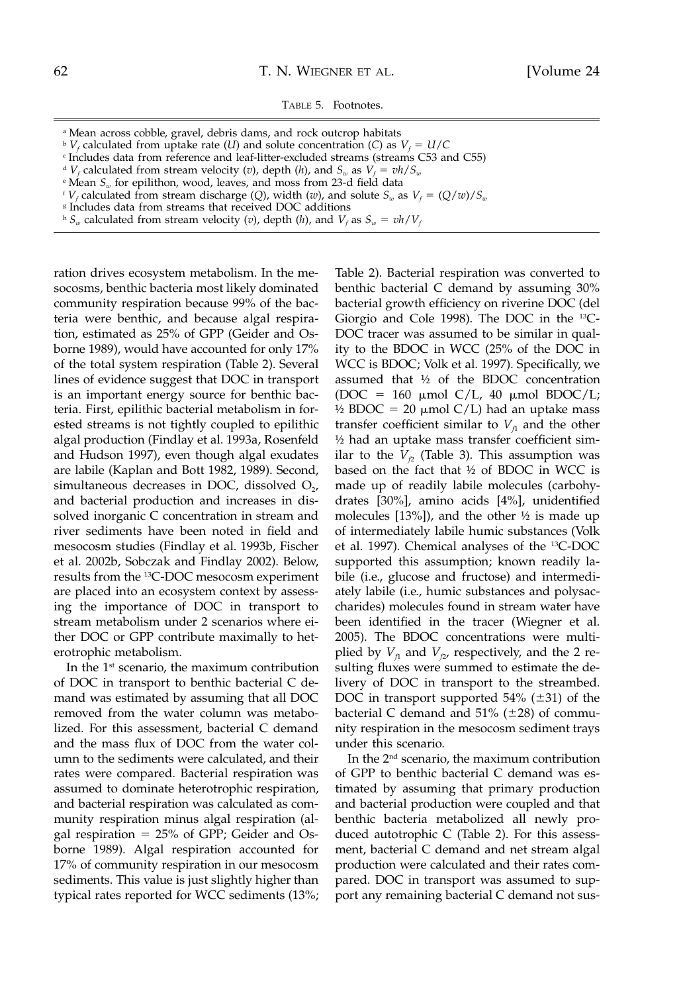TABLE 5. Footnotes.

- <sup>a</sup> Mean across cobble, gravel, debris dams, and rock outcrop habitats
- $\Delta^b V_f$  calculated from uptake rate (*U*) and solute concentration (*C*) as  $V_f = U/C$

<sup>c</sup> Includes data from reference and leaf-litter-excluded streams (streams C53 and C55)

- <sup>d</sup> *V<sub>f</sub>* calculated from stream velocity (*v*), depth (*h*), and  $S_w$  as  $V_f = v h / S_w$
- <sup>e</sup> Mean *Sw* for epilithon, wood, leaves, and moss from 23-d field data
- <sup>*f*</sup>  $V_f$  calculated from stream discharge (*Q*), width (*w*), and solute  $S_w$  as  $V_f = (Q/w)/S_w$
- <sup>g</sup> Includes data from streams that received DOC additions
- $h S_w$  calculated from stream velocity (*v*), depth (*h*), and  $V_f$  as  $S_w = v h / V_f$

ration drives ecosystem metabolism. In the mesocosms, benthic bacteria most likely dominated community respiration because 99% of the bacteria were benthic, and because algal respiration, estimated as 25% of GPP (Geider and Osborne 1989), would have accounted for only 17% of the total system respiration (Table 2). Several lines of evidence suggest that DOC in transport is an important energy source for benthic bacteria. First, epilithic bacterial metabolism in forested streams is not tightly coupled to epilithic algal production (Findlay et al. 1993a, Rosenfeld and Hudson 1997), even though algal exudates are labile (Kaplan and Bott 1982, 1989). Second, simultaneous decreases in DOC, dissolved  $O<sub>2</sub>$ , and bacterial production and increases in dissolved inorganic C concentration in stream and river sediments have been noted in field and mesocosm studies (Findlay et al. 1993b, Fischer et al. 2002b, Sobczak and Findlay 2002). Below, results from the 13C-DOC mesocosm experiment are placed into an ecosystem context by assessing the importance of DOC in transport to stream metabolism under 2 scenarios where either DOC or GPP contribute maximally to heterotrophic metabolism.

In the 1st scenario, the maximum contribution of DOC in transport to benthic bacterial C demand was estimated by assuming that all DOC removed from the water column was metabolized. For this assessment, bacterial C demand and the mass flux of DOC from the water column to the sediments were calculated, and their rates were compared. Bacterial respiration was assumed to dominate heterotrophic respiration, and bacterial respiration was calculated as community respiration minus algal respiration (algal respiration  $= 25\%$  of GPP; Geider and Osborne 1989). Algal respiration accounted for 17% of community respiration in our mesocosm sediments. This value is just slightly higher than typical rates reported for WCC sediments (13%;

Table 2). Bacterial respiration was converted to benthic bacterial C demand by assuming 30% bacterial growth efficiency on riverine DOC (del Giorgio and Cole 1998). The DOC in the 13C-DOC tracer was assumed to be similar in quality to the BDOC in WCC (25% of the DOC in WCC is BDOC; Volk et al. 1997). Specifically, we assumed that ½ of the BDOC concentration  $(DOC = 160 \mu \text{mol C/L}$ , 40  $\mu \text{mol BDOC/L}$ ; ½ BDOC = 20  $\mu$ mol C/L) had an uptake mass transfer coefficient similar to  $V<sub>f1</sub>$  and the other ½ had an uptake mass transfer coefficient similar to the  $V_p$  (Table 3). This assumption was based on the fact that ½ of BDOC in WCC is made up of readily labile molecules (carbohydrates [30%], amino acids [4%], unidentified molecules  $[13\%]$ , and the other  $\frac{1}{2}$  is made up of intermediately labile humic substances (Volk et al. 1997). Chemical analyses of the 13C-DOC supported this assumption; known readily labile (i.e., glucose and fructose) and intermediately labile (i.e., humic substances and polysaccharides) molecules found in stream water have been identified in the tracer (Wiegner et al. 2005). The BDOC concentrations were multiplied by  $V_{f1}$  and  $V_{f2}$ , respectively, and the 2 resulting fluxes were summed to estimate the delivery of DOC in transport to the streambed. DOC in transport supported  $54\%$  ( $\pm 31$ ) of the bacterial C demand and  $51\%$  ( $\pm 28$ ) of community respiration in the mesocosm sediment trays under this scenario.

In the 2nd scenario, the maximum contribution of GPP to benthic bacterial C demand was estimated by assuming that primary production and bacterial production were coupled and that benthic bacteria metabolized all newly produced autotrophic C (Table 2). For this assessment, bacterial C demand and net stream algal production were calculated and their rates compared. DOC in transport was assumed to support any remaining bacterial C demand not sus-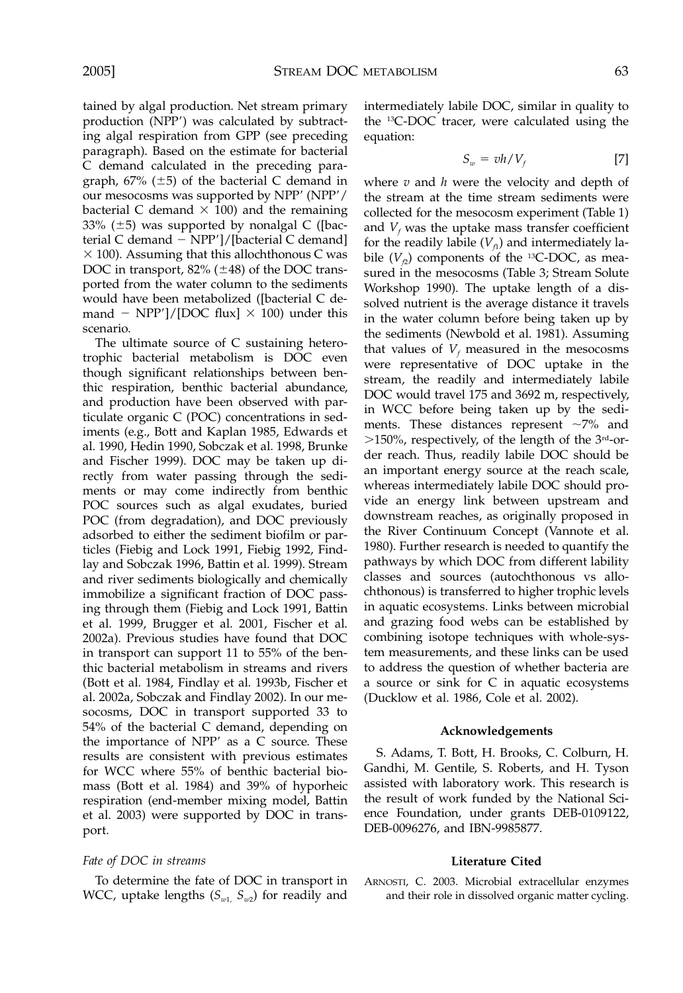tained by algal production. Net stream primary production (NPP) was calculated by subtracting algal respiration from GPP (see preceding paragraph). Based on the estimate for bacterial C demand calculated in the preceding paragraph,  $67\%$  ( $\pm 5$ ) of the bacterial C demand in our mesocosms was supported by NPP' (NPP'/ bacterial C demand  $\times$  100) and the remaining 33% ( $\pm$ 5) was supported by nonalgal C ([bacterial C demand  $-$  NPP']/[bacterial C demand]  $\times$  100). Assuming that this allochthonous C was DOC in transport,  $82\%$  ( $\pm 48$ ) of the DOC transported from the water column to the sediments would have been metabolized ([bacterial C demand  $-$  NPP']/[DOC flux]  $\times$  100) under this scenario.

The ultimate source of C sustaining heterotrophic bacterial metabolism is DOC even though significant relationships between benthic respiration, benthic bacterial abundance, and production have been observed with particulate organic C (POC) concentrations in sediments (e.g., Bott and Kaplan 1985, Edwards et al. 1990, Hedin 1990, Sobczak et al. 1998, Brunke and Fischer 1999). DOC may be taken up directly from water passing through the sediments or may come indirectly from benthic POC sources such as algal exudates, buried POC (from degradation), and DOC previously adsorbed to either the sediment biofilm or particles (Fiebig and Lock 1991, Fiebig 1992, Findlay and Sobczak 1996, Battin et al. 1999). Stream and river sediments biologically and chemically immobilize a significant fraction of DOC passing through them (Fiebig and Lock 1991, Battin et al. 1999, Brugger et al. 2001, Fischer et al. 2002a). Previous studies have found that DOC in transport can support 11 to 55% of the benthic bacterial metabolism in streams and rivers (Bott et al. 1984, Findlay et al. 1993b, Fischer et al. 2002a, Sobczak and Findlay 2002). In our mesocosms, DOC in transport supported 33 to 54% of the bacterial C demand, depending on the importance of  $NPP'$  as a  $C$  source. These results are consistent with previous estimates for WCC where 55% of benthic bacterial biomass (Bott et al. 1984) and 39% of hyporheic respiration (end-member mixing model, Battin et al. 2003) were supported by DOC in transport.

## *Fate of DOC in streams*

To determine the fate of DOC in transport in WCC, uptake lengths  $(S_{w1}, S_{w2})$  for readily and intermediately labile DOC, similar in quality to the 13C-DOC tracer, were calculated using the equation:

$$
S_w = v h / V_f \tag{7}
$$

where *v* and *h* were the velocity and depth of the stream at the time stream sediments were collected for the mesocosm experiment (Table 1) and  $V_f$  was the uptake mass transfer coefficient for the readily labile  $(V<sub>f1</sub>)$  and intermediately labile  $(V_{f2})$  components of the <sup>13</sup>C-DOC, as measured in the mesocosms (Table 3; Stream Solute Workshop 1990). The uptake length of a dissolved nutrient is the average distance it travels in the water column before being taken up by the sediments (Newbold et al. 1981). Assuming that values of  $V_f$  measured in the mesocosms were representative of DOC uptake in the stream, the readily and intermediately labile DOC would travel 175 and 3692 m, respectively, in WCC before being taken up by the sediments. These distances represent  $\sim$ 7% and  $>150\%$ , respectively, of the length of the 3<sup>rd</sup>-order reach. Thus, readily labile DOC should be an important energy source at the reach scale, whereas intermediately labile DOC should provide an energy link between upstream and downstream reaches, as originally proposed in the River Continuum Concept (Vannote et al. 1980). Further research is needed to quantify the pathways by which DOC from different lability classes and sources (autochthonous vs allochthonous) is transferred to higher trophic levels in aquatic ecosystems. Links between microbial and grazing food webs can be established by combining isotope techniques with whole-system measurements, and these links can be used to address the question of whether bacteria are a source or sink for C in aquatic ecosystems (Ducklow et al. 1986, Cole et al. 2002).

#### **Acknowledgements**

S. Adams, T. Bott, H. Brooks, C. Colburn, H. Gandhi, M. Gentile, S. Roberts, and H. Tyson assisted with laboratory work. This research is the result of work funded by the National Science Foundation, under grants DEB-0109122, DEB-0096276, and IBN-9985877.

## **Literature Cited**

ARNOSTI, C. 2003. Microbial extracellular enzymes and their role in dissolved organic matter cycling.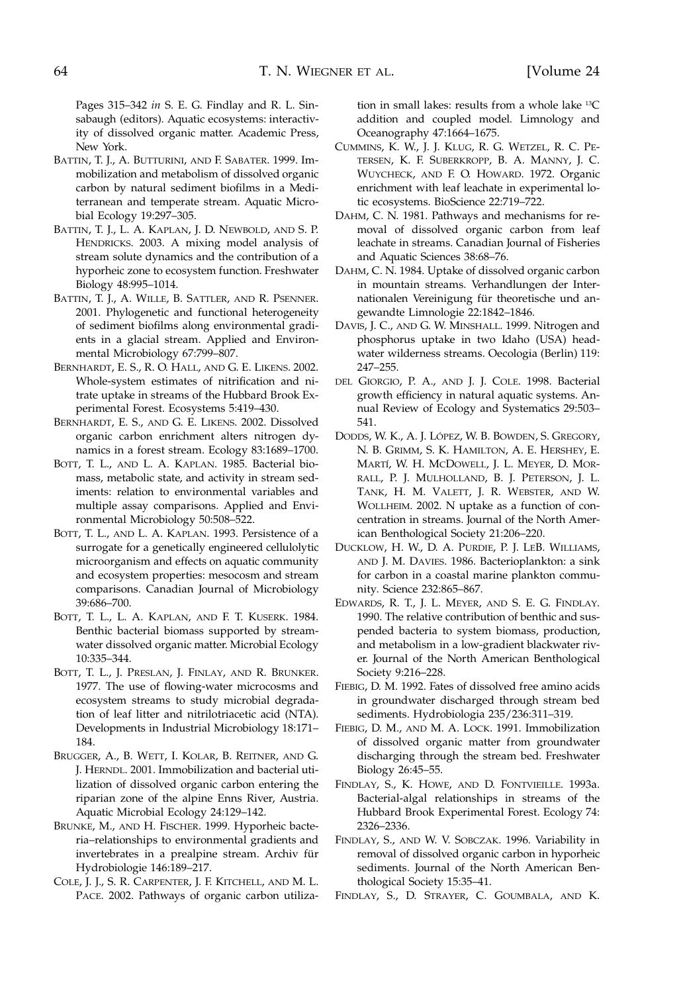Pages 315–342 *in* S. E. G. Findlay and R. L. Sinsabaugh (editors). Aquatic ecosystems: interactivity of dissolved organic matter. Academic Press, New York.

- BATTIN, T. J., A. BUTTURINI, AND F. SABATER. 1999. Immobilization and metabolism of dissolved organic carbon by natural sediment biofilms in a Mediterranean and temperate stream. Aquatic Microbial Ecology 19:297–305.
- BATTIN, T. J., L. A. KAPLAN, J. D. NEWBOLD, AND S. P. HENDRICKS. 2003. A mixing model analysis of stream solute dynamics and the contribution of a hyporheic zone to ecosystem function. Freshwater Biology 48:995–1014.
- BATTIN, T. J., A. WILLE, B. SATTLER, AND R. PSENNER. 2001. Phylogenetic and functional heterogeneity of sediment biofilms along environmental gradients in a glacial stream. Applied and Environmental Microbiology 67:799–807.
- BERNHARDT, E. S., R. O. HALL, AND G. E. LIKENS. 2002. Whole-system estimates of nitrification and nitrate uptake in streams of the Hubbard Brook Experimental Forest. Ecosystems 5:419–430.
- BERNHARDT, E. S., AND G. E. LIKENS. 2002. Dissolved organic carbon enrichment alters nitrogen dynamics in a forest stream. Ecology 83:1689–1700.
- BOTT, T. L., AND L. A. KAPLAN. 1985. Bacterial biomass, metabolic state, and activity in stream sediments: relation to environmental variables and multiple assay comparisons. Applied and Environmental Microbiology 50:508–522.
- BOTT, T. L., AND L. A. KAPLAN. 1993. Persistence of a surrogate for a genetically engineered cellulolytic microorganism and effects on aquatic community and ecosystem properties: mesocosm and stream comparisons. Canadian Journal of Microbiology 39:686–700.
- BOTT, T. L., L. A. KAPLAN, AND F. T. KUSERK. 1984. Benthic bacterial biomass supported by streamwater dissolved organic matter. Microbial Ecology 10:335–344.
- BOTT, T. L., J. PRESLAN, J. FINLAY, AND R. BRUNKER. 1977. The use of flowing-water microcosms and ecosystem streams to study microbial degradation of leaf litter and nitrilotriacetic acid (NTA). Developments in Industrial Microbiology 18:171– 184.
- BRUGGER, A., B. WETT, I. KOLAR, B. REITNER, AND G. J. HERNDL. 2001. Immobilization and bacterial utilization of dissolved organic carbon entering the riparian zone of the alpine Enns River, Austria. Aquatic Microbial Ecology 24:129–142.
- BRUNKE, M., AND H. FISCHER. 1999. Hyporheic bacteria–relationships to environmental gradients and invertebrates in a prealpine stream. Archiv für Hydrobiologie 146:189–217.
- COLE, J. J., S. R. CARPENTER, J. F. KITCHELL, AND M. L. PACE. 2002. Pathways of organic carbon utiliza-

tion in small lakes: results from a whole lake 13C addition and coupled model. Limnology and Oceanography 47:1664–1675.

- CUMMINS, K. W., J. J. KLUG, R. G. WETZEL, R. C. PE-TERSEN, K. F. SUBERKROPP, B. A. MANNY, J. C. WUYCHECK, AND F. O. HOWARD. 1972. Organic enrichment with leaf leachate in experimental lotic ecosystems. BioScience 22:719–722.
- DAHM, C. N. 1981. Pathways and mechanisms for removal of dissolved organic carbon from leaf leachate in streams. Canadian Journal of Fisheries and Aquatic Sciences 38:68–76.
- DAHM, C. N. 1984. Uptake of dissolved organic carbon in mountain streams. Verhandlungen der Internationalen Vereinigung für theoretische und angewandte Limnologie 22:1842–1846.
- DAVIS, J. C., AND G. W. MINSHALL. 1999. Nitrogen and phosphorus uptake in two Idaho (USA) headwater wilderness streams. Oecologia (Berlin) 119: 247–255.
- DEL GIORGIO, P. A., AND J. J. COLE. 1998. Bacterial growth efficiency in natural aquatic systems. Annual Review of Ecology and Systematics 29:503– 541.
- DODDS, W. K., A. J. LÓPEZ, W. B. BOWDEN, S. GREGORY, N. B. GRIMM, S. K. HAMILTON, A. E. HERSHEY, E. MARTI´, W. H. MCDOWELL, J. L. MEYER, D. MOR-RALL, P. J. MULHOLLAND, B. J. PETERSON, J. L. TANK, H. M. VALETT, J. R. WEBSTER, AND W. WOLLHEIM. 2002. N uptake as a function of concentration in streams. Journal of the North American Benthological Society 21:206–220.
- DUCKLOW, H. W., D. A. PURDIE, P. J. LEB. WILLIAMS, AND J. M. DAVIES. 1986. Bacterioplankton: a sink for carbon in a coastal marine plankton community. Science 232:865–867.
- EDWARDS, R. T., J. L. MEYER, AND S. E. G. FINDLAY. 1990. The relative contribution of benthic and suspended bacteria to system biomass, production, and metabolism in a low-gradient blackwater river. Journal of the North American Benthological Society 9:216–228.
- FIEBIG, D. M. 1992. Fates of dissolved free amino acids in groundwater discharged through stream bed sediments. Hydrobiologia 235/236:311–319.
- FIEBIG, D. M., AND M. A. LOCK. 1991. Immobilization of dissolved organic matter from groundwater discharging through the stream bed. Freshwater Biology 26:45–55.
- FINDLAY, S., K. HOWE, AND D. FONTVIEILLE. 1993a. Bacterial-algal relationships in streams of the Hubbard Brook Experimental Forest. Ecology 74: 2326–2336.
- FINDLAY, S., AND W. V. SOBCZAK. 1996. Variability in removal of dissolved organic carbon in hyporheic sediments. Journal of the North American Benthological Society 15:35–41.
- FINDLAY, S., D. STRAYER, C. GOUMBALA, AND K.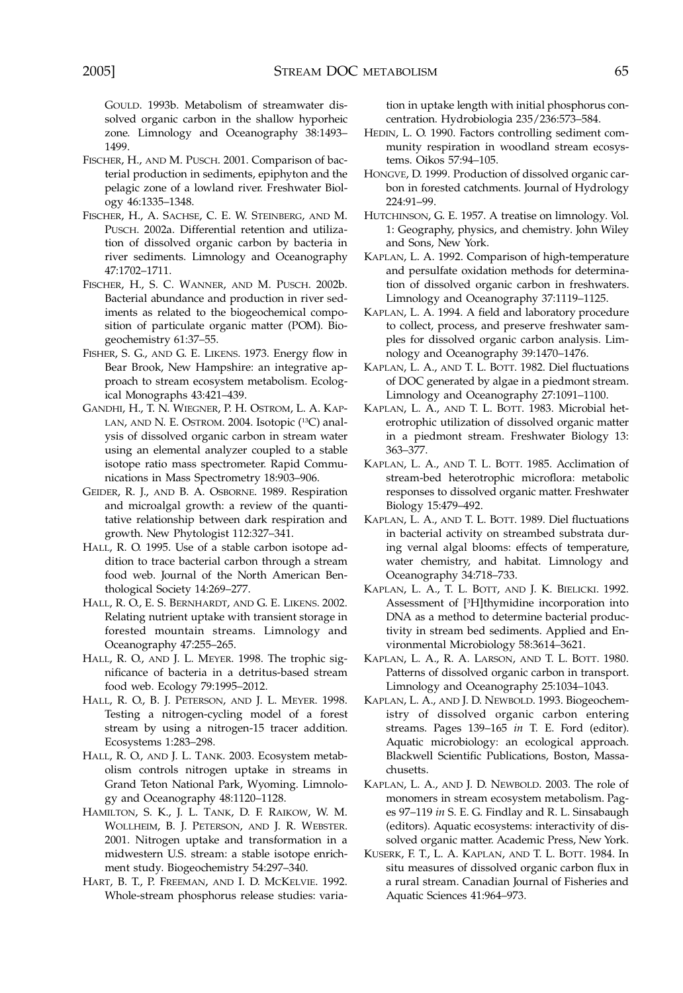GOULD. 1993b. Metabolism of streamwater dissolved organic carbon in the shallow hyporheic zone. Limnology and Oceanography 38:1493– 1499.

- FISCHER, H., AND M. PUSCH. 2001. Comparison of bacterial production in sediments, epiphyton and the pelagic zone of a lowland river. Freshwater Biology 46:1335–1348.
- FISCHER, H., A. SACHSE, C. E. W. STEINBERG, AND M. PUSCH. 2002a. Differential retention and utilization of dissolved organic carbon by bacteria in river sediments. Limnology and Oceanography 47:1702–1711.
- FISCHER, H., S. C. WANNER, AND M. PUSCH. 2002b. Bacterial abundance and production in river sediments as related to the biogeochemical composition of particulate organic matter (POM). Biogeochemistry 61:37–55.
- FISHER, S. G., AND G. E. LIKENS. 1973. Energy flow in Bear Brook, New Hampshire: an integrative approach to stream ecosystem metabolism. Ecological Monographs 43:421–439.
- GANDHI, H., T. N. WIEGNER, P. H. OSTROM, L. A. KAP-LAN, AND N. E. OSTROM. 2004. Isotopic (<sup>13</sup>C) analysis of dissolved organic carbon in stream water using an elemental analyzer coupled to a stable isotope ratio mass spectrometer. Rapid Communications in Mass Spectrometry 18:903–906.
- GEIDER, R. J., AND B. A. OSBORNE. 1989. Respiration and microalgal growth: a review of the quantitative relationship between dark respiration and growth. New Phytologist 112:327–341.
- HALL, R. O. 1995. Use of a stable carbon isotope addition to trace bacterial carbon through a stream food web. Journal of the North American Benthological Society 14:269–277.
- HALL, R. O., E. S. BERNHARDT, AND G. E. LIKENS. 2002. Relating nutrient uptake with transient storage in forested mountain streams. Limnology and Oceanography 47:255–265.
- HALL, R. O., AND J. L. MEYER. 1998. The trophic significance of bacteria in a detritus-based stream food web. Ecology 79:1995–2012.
- HALL, R. O., B. J. PETERSON, AND J. L. MEYER. 1998. Testing a nitrogen-cycling model of a forest stream by using a nitrogen-15 tracer addition. Ecosystems 1:283–298.
- HALL, R. O., AND J. L. TANK. 2003. Ecosystem metabolism controls nitrogen uptake in streams in Grand Teton National Park, Wyoming. Limnology and Oceanography 48:1120–1128.
- HAMILTON, S. K., J. L. TANK, D. F. RAIKOW, W. M. WOLLHEIM, B. J. PETERSON, AND J. R. WEBSTER. 2001. Nitrogen uptake and transformation in a midwestern U.S. stream: a stable isotope enrichment study. Biogeochemistry 54:297–340.
- HART, B. T., P. FREEMAN, AND I. D. MCKELVIE. 1992. Whole-stream phosphorus release studies: varia-

tion in uptake length with initial phosphorus concentration. Hydrobiologia 235/236:573–584.

- HEDIN, L. O. 1990. Factors controlling sediment community respiration in woodland stream ecosystems. Oikos 57:94–105.
- HONGVE, D. 1999. Production of dissolved organic carbon in forested catchments. Journal of Hydrology 224:91–99.
- HUTCHINSON, G. E. 1957. A treatise on limnology. Vol. 1: Geography, physics, and chemistry. John Wiley and Sons, New York.
- KAPLAN, L. A. 1992. Comparison of high-temperature and persulfate oxidation methods for determination of dissolved organic carbon in freshwaters. Limnology and Oceanography 37:1119–1125.
- KAPLAN, L. A. 1994. A field and laboratory procedure to collect, process, and preserve freshwater samples for dissolved organic carbon analysis. Limnology and Oceanography 39:1470–1476.
- KAPLAN, L. A., AND T. L. BOTT. 1982. Diel fluctuations of DOC generated by algae in a piedmont stream. Limnology and Oceanography 27:1091–1100.
- KAPLAN, L. A., AND T. L. BOTT. 1983. Microbial heterotrophic utilization of dissolved organic matter in a piedmont stream. Freshwater Biology 13: 363–377.
- KAPLAN, L. A., AND T. L. BOTT. 1985. Acclimation of stream-bed heterotrophic microflora: metabolic responses to dissolved organic matter. Freshwater Biology 15:479–492.
- KAPLAN, L. A., AND T. L. BOTT. 1989. Diel fluctuations in bacterial activity on streambed substrata during vernal algal blooms: effects of temperature, water chemistry, and habitat. Limnology and Oceanography 34:718–733.
- KAPLAN, L. A., T. L. BOTT, AND J. K. BIELICKI. 1992. Assessment of [3 H]thymidine incorporation into DNA as a method to determine bacterial productivity in stream bed sediments. Applied and Environmental Microbiology 58:3614–3621.
- KAPLAN, L. A., R. A. LARSON, AND T. L. BOTT. 1980. Patterns of dissolved organic carbon in transport. Limnology and Oceanography 25:1034–1043.
- KAPLAN, L. A., AND J. D. NEWBOLD. 1993. Biogeochemistry of dissolved organic carbon entering streams. Pages 139–165 *in* T. E. Ford (editor). Aquatic microbiology: an ecological approach. Blackwell Scientific Publications, Boston, Massachusetts.
- KAPLAN, L. A., AND J. D. NEWBOLD. 2003. The role of monomers in stream ecosystem metabolism. Pages 97–119 *in* S. E. G. Findlay and R. L. Sinsabaugh (editors). Aquatic ecosystems: interactivity of dissolved organic matter. Academic Press, New York.
- KUSERK, F. T., L. A. KAPLAN, AND T. L. BOTT. 1984. In situ measures of dissolved organic carbon flux in a rural stream. Canadian Journal of Fisheries and Aquatic Sciences 41:964–973.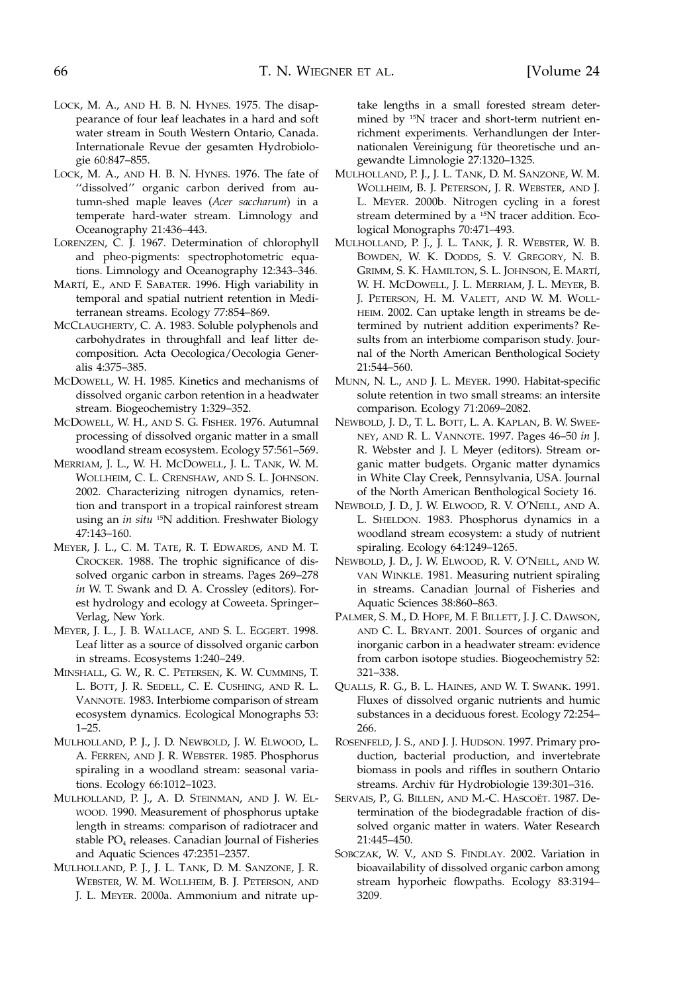- LOCK, M. A., AND H. B. N. HYNES. 1975. The disappearance of four leaf leachates in a hard and soft water stream in South Western Ontario, Canada. Internationale Revue der gesamten Hydrobiologie 60:847–855.
- LOCK, M. A., AND H. B. N. HYNES. 1976. The fate of "dissolved" organic carbon derived from autumn-shed maple leaves (*Acer saccharum*) in a temperate hard-water stream. Limnology and Oceanography 21:436–443.
- LORENZEN, C. J. 1967. Determination of chlorophyll and pheo-pigments: spectrophotometric equations. Limnology and Oceanography 12:343–346.
- MARTÍ, E., AND F. SABATER. 1996. High variability in temporal and spatial nutrient retention in Mediterranean streams. Ecology 77:854–869.
- MCCLAUGHERTY, C. A. 1983. Soluble polyphenols and carbohydrates in throughfall and leaf litter decomposition. Acta Oecologica/Oecologia Generalis 4:375–385.
- MCDOWELL, W. H. 1985. Kinetics and mechanisms of dissolved organic carbon retention in a headwater stream. Biogeochemistry 1:329–352.
- MCDOWELL, W. H., AND S. G. FISHER. 1976. Autumnal processing of dissolved organic matter in a small woodland stream ecosystem. Ecology 57:561–569.
- MERRIAM, J. L., W. H. MCDOWELL, J. L. TANK, W. M. WOLLHEIM, C. L. CRENSHAW, AND S. L. JOHNSON. 2002. Characterizing nitrogen dynamics, retention and transport in a tropical rainforest stream using an *in situ* 15N addition. Freshwater Biology 47:143–160.
- MEYER, J. L., C. M. TATE, R. T. EDWARDS, AND M. T. CROCKER. 1988. The trophic significance of dissolved organic carbon in streams. Pages 269–278 *in* W. T. Swank and D. A. Crossley (editors). Forest hydrology and ecology at Coweeta. Springer– Verlag, New York.
- MEYER, J. L., J. B. WALLACE, AND S. L. EGGERT. 1998. Leaf litter as a source of dissolved organic carbon in streams. Ecosystems 1:240–249.
- MINSHALL, G. W., R. C. PETERSEN, K. W. CUMMINS, T. L. BOTT, J. R. SEDELL, C. E. CUSHING, AND R. L. VANNOTE. 1983. Interbiome comparison of stream ecosystem dynamics. Ecological Monographs 53: 1–25.
- MULHOLLAND, P. J., J. D. NEWBOLD, J. W. ELWOOD, L. A. FERREN, AND J. R. WEBSTER. 1985. Phosphorus spiraling in a woodland stream: seasonal variations. Ecology 66:1012–1023.
- MULHOLLAND, P. J., A. D. STEINMAN, AND J. W. EL-WOOD. 1990. Measurement of phosphorus uptake length in streams: comparison of radiotracer and stable PO<sub>4</sub> releases. Canadian Journal of Fisheries and Aquatic Sciences 47:2351–2357.
- MULHOLLAND, P. J., J. L. TANK, D. M. SANZONE, J. R. WEBSTER, W. M. WOLLHEIM, B. J. PETERSON, AND J. L. MEYER. 2000a. Ammonium and nitrate up-

take lengths in a small forested stream determined by 15N tracer and short-term nutrient enrichment experiments. Verhandlungen der Internationalen Vereinigung für theoretische und angewandte Limnologie 27:1320–1325.

- MULHOLLAND, P. J., J. L. TANK, D. M. SANZONE, W. M. WOLLHEIM, B. J. PETERSON, J. R. WEBSTER, AND J. L. MEYER. 2000b. Nitrogen cycling in a forest stream determined by a 15N tracer addition. Ecological Monographs 70:471–493.
- MULHOLLAND, P. J., J. L. TANK, J. R. WEBSTER, W. B. BOWDEN, W. K. DODDS, S. V. GREGORY, N. B. GRIMM, S. K. HAMILTON, S. L. JOHNSON, E. MARTI´, W. H. MCDOWELL, J. L. MERRIAM, J. L. MEYER, B. J. PETERSON, H. M. VALETT, AND W. M. WOLL-HEIM. 2002. Can uptake length in streams be determined by nutrient addition experiments? Results from an interbiome comparison study. Journal of the North American Benthological Society 21:544–560.
- MUNN, N. L., AND J. L. MEYER. 1990. Habitat-specific solute retention in two small streams: an intersite comparison. Ecology 71:2069–2082.
- NEWBOLD, J. D., T. L. BOTT, L. A. KAPLAN, B. W. SWEE-NEY, AND R. L. VANNOTE. 1997. Pages 46–50 *in* J. R. Webster and J. L Meyer (editors). Stream organic matter budgets. Organic matter dynamics in White Clay Creek, Pennsylvania, USA. Journal of the North American Benthological Society 16.
- NEWBOLD, J. D., J. W. ELWOOD, R. V. O'NEILL, AND A. L. SHELDON. 1983. Phosphorus dynamics in a woodland stream ecosystem: a study of nutrient spiraling. Ecology 64:1249–1265.
- NEWBOLD, J. D., J. W. ELWOOD, R. V. O'NEILL, AND W. VAN WINKLE. 1981. Measuring nutrient spiraling in streams. Canadian Journal of Fisheries and Aquatic Sciences 38:860–863.
- PALMER, S. M., D. HOPE, M. F. BILLETT, J. J. C. DAWSON, AND C. L. BRYANT. 2001. Sources of organic and inorganic carbon in a headwater stream: evidence from carbon isotope studies. Biogeochemistry 52: 321–338.
- QUALLS, R. G., B. L. HAINES, AND W. T. SWANK. 1991. Fluxes of dissolved organic nutrients and humic substances in a deciduous forest. Ecology 72:254– 266.
- ROSENFELD, J. S., AND J. J. HUDSON. 1997. Primary production, bacterial production, and invertebrate biomass in pools and riffles in southern Ontario streams. Archiv für Hydrobiologie 139:301-316.
- SERVAIS, P., G. BILLEN, AND M.-C. HASCOËT. 1987. Determination of the biodegradable fraction of dissolved organic matter in waters. Water Research 21:445–450.
- SOBCZAK, W. V., AND S. FINDLAY. 2002. Variation in bioavailability of dissolved organic carbon among stream hyporheic flowpaths. Ecology 83:3194– 3209.